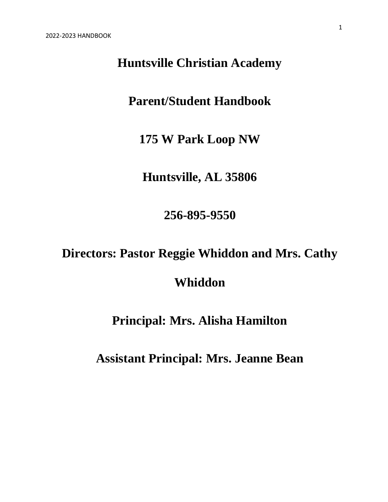# **Huntsville Christian Academy**

# **Parent/Student Handbook**

**175 W Park Loop NW**

**Huntsville, AL 35806**

**256-895-9550**

# **Directors: Pastor Reggie Whiddon and Mrs. Cathy**

# **Whiddon**

# **Principal: Mrs. Alisha Hamilton**

**Assistant Principal: Mrs. Jeanne Bean**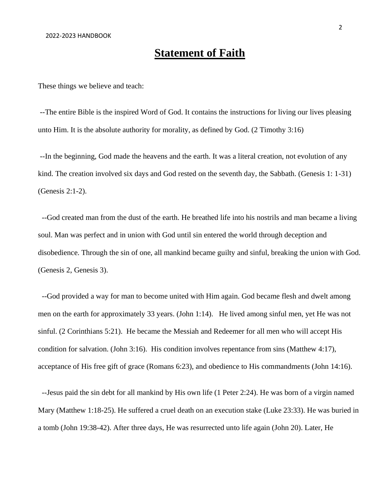### **Statement of Faith**

These things we believe and teach:

--The entire Bible is the inspired Word of God. It contains the instructions for living our lives pleasing unto Him. It is the absolute authority for morality, as defined by God. (2 Timothy 3:16)

--In the beginning, God made the heavens and the earth. It was a literal creation, not evolution of any kind. The creation involved six days and God rested on the seventh day, the Sabbath. (Genesis 1: 1-31) (Genesis 2:1-2).

--God created man from the dust of the earth. He breathed life into his nostrils and man became a living soul. Man was perfect and in union with God until sin entered the world through deception and disobedience. Through the sin of one, all mankind became guilty and sinful, breaking the union with God. (Genesis 2, Genesis 3).

--God provided a way for man to become united with Him again. God became flesh and dwelt among men on the earth for approximately 33 years. (John 1:14). He lived among sinful men, yet He was not sinful. (2 Corinthians 5:21). He became the Messiah and Redeemer for all men who will accept His condition for salvation. (John 3:16). His condition involves repentance from sins (Matthew 4:17), acceptance of His free gift of grace (Romans 6:23), and obedience to His commandments (John 14:16).

--Jesus paid the sin debt for all mankind by His own life (1 Peter 2:24). He was born of a virgin named Mary (Matthew 1:18-25). He suffered a cruel death on an execution stake (Luke 23:33). He was buried in a tomb (John 19:38-42). After three days, He was resurrected unto life again (John 20). Later, He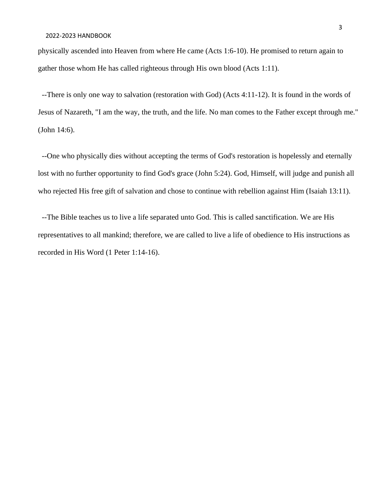physically ascended into Heaven from where He came (Acts 1:6-10). He promised to return again to gather those whom He has called righteous through His own blood (Acts 1:11).

--There is only one way to salvation (restoration with God) (Acts 4:11-12). It is found in the words of Jesus of Nazareth, "I am the way, the truth, and the life. No man comes to the Father except through me." (John 14:6).

--One who physically dies without accepting the terms of God's restoration is hopelessly and eternally lost with no further opportunity to find God's grace (John 5:24). God, Himself, will judge and punish all who rejected His free gift of salvation and chose to continue with rebellion against Him (Isaiah 13:11).

--The Bible teaches us to live a life separated unto God. This is called sanctification. We are His representatives to all mankind; therefore, we are called to live a life of obedience to His instructions as recorded in His Word (1 Peter 1:14-16).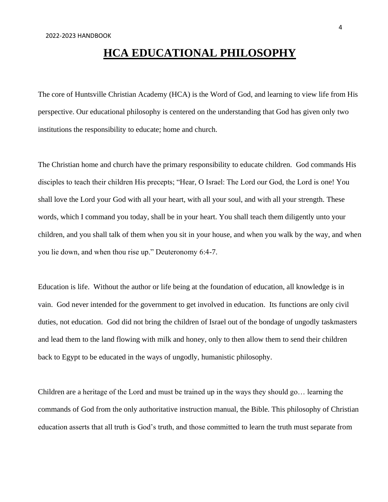# **HCA EDUCATIONAL PHILOSOPHY**

The core of Huntsville Christian Academy (HCA) is the Word of God, and learning to view life from His perspective. Our educational philosophy is centered on the understanding that God has given only two institutions the responsibility to educate; home and church.

The Christian home and church have the primary responsibility to educate children. God commands His disciples to teach their children His precepts; "Hear, O Israel: The Lord our God, the Lord is one! You shall love the Lord your God with all your heart, with all your soul, and with all your strength. These words, which I command you today, shall be in your heart. You shall teach them diligently unto your children, and you shall talk of them when you sit in your house, and when you walk by the way, and when you lie down, and when thou rise up." Deuteronomy 6:4-7.

Education is life. Without the author or life being at the foundation of education, all knowledge is in vain. God never intended for the government to get involved in education. Its functions are only civil duties, not education. God did not bring the children of Israel out of the bondage of ungodly taskmasters and lead them to the land flowing with milk and honey, only to then allow them to send their children back to Egypt to be educated in the ways of ungodly, humanistic philosophy.

Children are a heritage of the Lord and must be trained up in the ways they should go… learning the commands of God from the only authoritative instruction manual, the Bible. This philosophy of Christian education asserts that all truth is God's truth, and those committed to learn the truth must separate from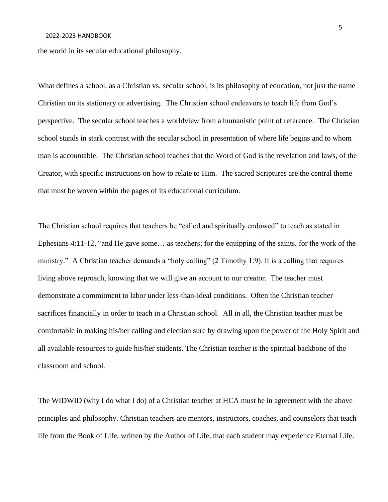#### 2022-2023 HANDBOOK

the world in its secular educational philosophy.

What defines a school, as a Christian vs. secular school, is its philosophy of education, not just the name Christian on its stationary or advertising. The Christian school endeavors to teach life from God's perspective. The secular school teaches a worldview from a humanistic point of reference. The Christian school stands in stark contrast with the secular school in presentation of where life begins and to whom man is accountable. The Christian school teaches that the Word of God is the revelation and laws, of the Creator, with specific instructions on how to relate to Him. The sacred Scriptures are the central theme that must be woven within the pages of its educational curriculum.

The Christian school requires that teachers be "called and spiritually endowed" to teach as stated in Ephesians 4:11-12, "and He gave some… as teachers; for the equipping of the saints, for the work of the ministry." A Christian teacher demands a "holy calling" (2 Timothy 1:9). It is a calling that requires living above reproach, knowing that we will give an account to our creator. The teacher must demonstrate a commitment to labor under less-than-ideal conditions. Often the Christian teacher sacrifices financially in order to teach in a Christian school. All in all, the Christian teacher must be comfortable in making his/her calling and election sure by drawing upon the power of the Holy Spirit and all available resources to guide his/her students. The Christian teacher is the spiritual backbone of the classroom and school.

The WIDWID (why I do what I do) of a Christian teacher at HCA must be in agreement with the above principles and philosophy. Christian teachers are mentors, instructors, coaches, and counselors that teach life from the Book of Life, written by the Author of Life, that each student may experience Eternal Life.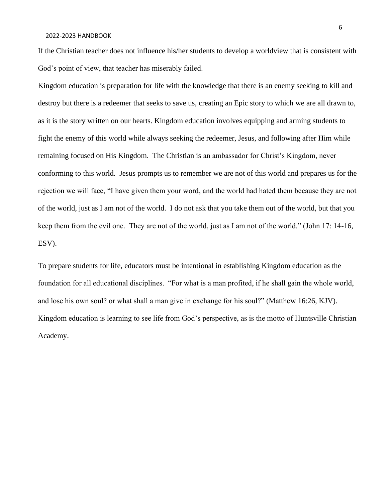If the Christian teacher does not influence his/her students to develop a worldview that is consistent with God's point of view, that teacher has miserably failed.

Kingdom education is preparation for life with the knowledge that there is an enemy seeking to kill and destroy but there is a redeemer that seeks to save us, creating an Epic story to which we are all drawn to, as it is the story written on our hearts. Kingdom education involves equipping and arming students to fight the enemy of this world while always seeking the redeemer, Jesus, and following after Him while remaining focused on His Kingdom. The Christian is an ambassador for Christ's Kingdom, never conforming to this world. Jesus prompts us to remember we are not of this world and prepares us for the rejection we will face, "I have given them your word, and the world had hated them because they are not of the world, just as I am not of the world. I do not ask that you take them out of the world, but that you keep them from the evil one. They are not of the world, just as I am not of the world." (John 17: 14-16, ESV).

To prepare students for life, educators must be intentional in establishing Kingdom education as the foundation for all educational disciplines. "For what is a man profited, if he shall gain the whole world, and lose his own soul? or what shall a man give in exchange for his soul?" (Matthew 16:26, KJV). Kingdom education is learning to see life from God's perspective, as is the motto of Huntsville Christian Academy.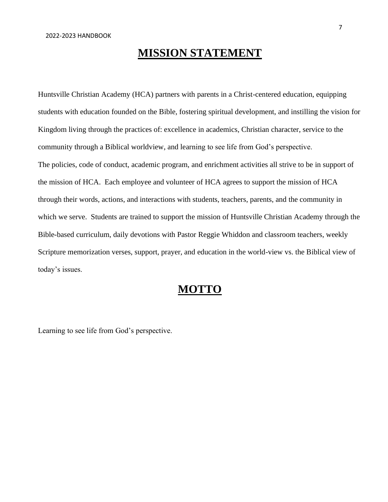# **MISSION STATEMENT**

Huntsville Christian Academy (HCA) partners with parents in a Christ-centered education, equipping students with education founded on the Bible, fostering spiritual development, and instilling the vision for Kingdom living through the practices of: excellence in academics, Christian character, service to the community through a Biblical worldview, and learning to see life from God's perspective. The policies, code of conduct, academic program, and enrichment activities all strive to be in support of the mission of HCA. Each employee and volunteer of HCA agrees to support the mission of HCA through their words, actions, and interactions with students, teachers, parents, and the community in which we serve. Students are trained to support the mission of Huntsville Christian Academy through the Bible-based curriculum, daily devotions with Pastor Reggie Whiddon and classroom teachers, weekly Scripture memorization verses, support, prayer, and education in the world-view vs. the Biblical view of today's issues.

### **MOTTO**

Learning to see life from God's perspective.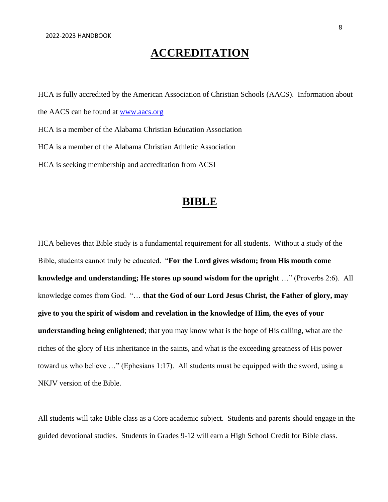# **ACCREDITATION**

HCA is fully accredited by the American Association of Christian Schools (AACS). Information about the AACS can be found at [www.aacs.org](http://www.aacs.org/) HCA is a member of the Alabama Christian Education Association HCA is a member of the Alabama Christian Athletic Association HCA is seeking membership and accreditation from ACSI

### **BIBLE**

HCA believes that Bible study is a fundamental requirement for all students. Without a study of the Bible, students cannot truly be educated. "**For the Lord gives wisdom; from His mouth come knowledge and understanding; He stores up sound wisdom for the upright** …" (Proverbs 2:6). All knowledge comes from God. "… **that the God of our Lord Jesus Christ, the Father of glory, may give to you the spirit of wisdom and revelation in the knowledge of Him, the eyes of your understanding being enlightened**; that you may know what is the hope of His calling, what are the riches of the glory of His inheritance in the saints, and what is the exceeding greatness of His power toward us who believe …" (Ephesians 1:17). All students must be equipped with the sword, using a NKJV version of the Bible.

All students will take Bible class as a Core academic subject. Students and parents should engage in the guided devotional studies. Students in Grades 9-12 will earn a High School Credit for Bible class.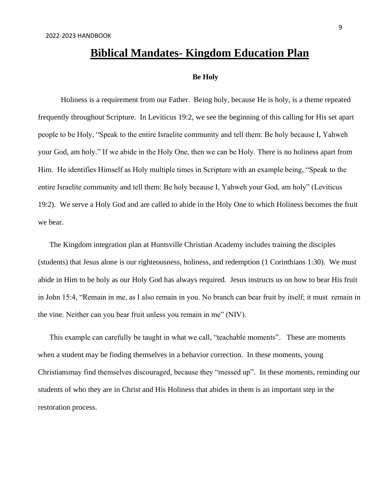### **Biblical Mandates- Kingdom Education Plan**

#### **Be Holy**

Holiness is a requirement from our Father. Being holy, because He is holy, is a theme repeated frequently throughout Scripture. In Leviticus 19:2, we see the beginning of this calling for His set apart people to be Holy, "Speak to the entire Israelite community and tell them: Be holy because I, Yahweh your God, am holy." If we abide in the Holy One, then we can be Holy. There is no holiness apart from Him. He identifies Himself as Holy multiple times in Scripture with an example being, "Speak to the entire Israelite community and tell them: Be holy because I, Yahweh your God, am holy" (Leviticus 19:2). We serve a Holy God and are called to abide in the Holy One to which Holiness becomes the fruit we bear.

The Kingdom integration plan at Huntsville Christian Academy includes training the disciples (students) that Jesus alone is our righteousness, holiness, and redemption (1 Corinthians 1:30). We must abide in Him to be holy as our Holy God has always required. Jesus instructs us on how to bear His fruit in John 15:4, "Remain in me, as I also remain in you. No branch can bear fruit by itself; it must remain in the vine. Neither can you bear fruit unless you remain in me" (NIV).

This example can carefully be taught in what we call, "teachable moments". These are moments when a student may be finding themselves in a behavior correction. In these moments, young Christiansmay find themselves discouraged, because they "messed up". In these moments, reminding our students of who they are in Christ and His Holiness that abides in them is an important step in the restoration process.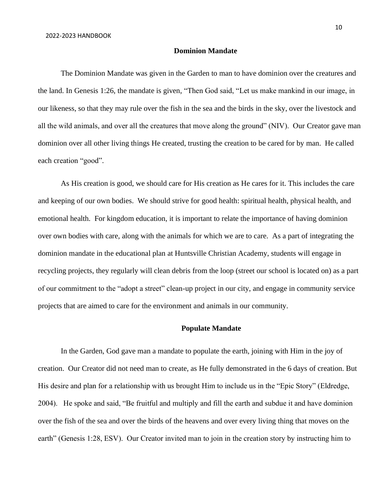#### **Dominion Mandate**

The Dominion Mandate was given in the Garden to man to have dominion over the creatures and the land. In Genesis 1:26, the mandate is given, "Then God said, "Let us make mankind in our image, in our likeness, so that they may rule over the fish in the sea and the birds in the sky, over the livestock and all the wild animals, and over all the creatures that move along the ground" (NIV). Our Creator gave man dominion over all other living things He created, trusting the creation to be cared for by man. He called each creation "good".

As His creation is good, we should care for His creation as He cares for it. This includes the care and keeping of our own bodies. We should strive for good health: spiritual health, physical health, and emotional health. For kingdom education, it is important to relate the importance of having dominion over own bodies with care, along with the animals for which we are to care. As a part of integrating the dominion mandate in the educational plan at Huntsville Christian Academy, students will engage in recycling projects, they regularly will clean debris from the loop (street our school is located on) as a part of our commitment to the "adopt a street" clean-up project in our city, and engage in community service projects that are aimed to care for the environment and animals in our community.

#### **Populate Mandate**

In the Garden, God gave man a mandate to populate the earth, joining with Him in the joy of creation. Our Creator did not need man to create, as He fully demonstrated in the 6 days of creation. But His desire and plan for a relationship with us brought Him to include us in the "Epic Story" (Eldredge, 2004). He spoke and said, "Be fruitful and multiply and fill the earth and subdue it and have dominion over the fish of the sea and over the birds of the heavens and over every living thing that moves on the earth" (Genesis 1:28, ESV). Our Creator invited man to join in the creation story by instructing him to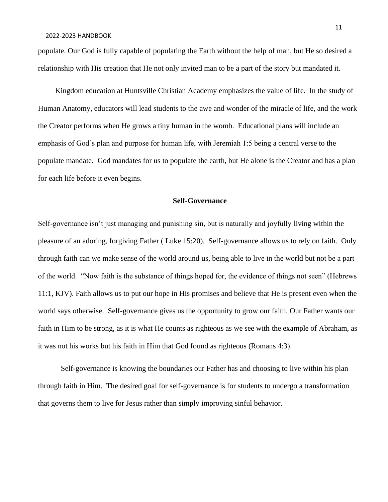populate. Our God is fully capable of populating the Earth without the help of man, but He so desired a relationship with His creation that He not only invited man to be a part of the story but mandated it.

 Kingdom education at Huntsville Christian Academy emphasizes the value of life. In the study of Human Anatomy, educators will lead students to the awe and wonder of the miracle of life, and the work the Creator performs when He grows a tiny human in the womb. Educational plans will include an emphasis of God's plan and purpose for human life, with Jeremiah 1:5 being a central verse to the populate mandate. God mandates for us to populate the earth, but He alone is the Creator and has a plan for each life before it even begins.

#### **Self-Governance**

Self-governance isn't just managing and punishing sin, but is naturally and joyfully living within the pleasure of an adoring, forgiving Father ( Luke 15:20). Self-governance allows us to rely on faith. Only through faith can we make sense of the world around us, being able to live in the world but not be a part of the world. "Now faith is the substance of things hoped for, the evidence of things not seen" (Hebrews 11:1, KJV). Faith allows us to put our hope in His promises and believe that He is present even when the world says otherwise. Self-governance gives us the opportunity to grow our faith. Our Father wants our faith in Him to be strong, as it is what He counts as righteous as we see with the example of Abraham, as it was not his works but his faith in Him that God found as righteous (Romans 4:3).

Self-governance is knowing the boundaries our Father has and choosing to live within his plan through faith in Him. The desired goal for self-governance is for students to undergo a transformation that governs them to live for Jesus rather than simply improving sinful behavior.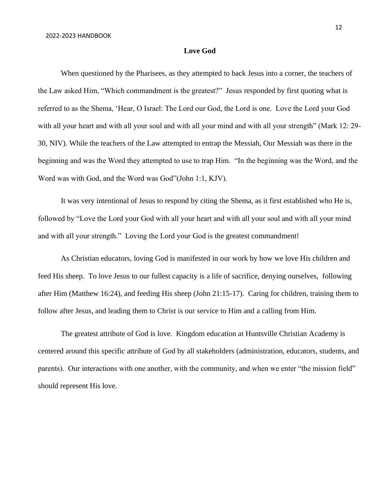#### **Love God**

When questioned by the Pharisees, as they attempted to back Jesus into a corner, the teachers of the Law asked Him, "Which commandment is the greatest?" Jesus responded by first quoting what is referred to as the Shema, 'Hear, O Israel: The Lord our God, the Lord is one. Love the Lord your God with all your heart and with all your soul and with all your mind and with all your strength" (Mark 12: 29-30, NIV). While the teachers of the Law attempted to entrap the Messiah, Our Messiah was there in the beginning and was the Word they attempted to use to trap Him. "In the beginning was the Word, and the Word was with God, and the Word was God"(John 1:1, KJV).

It was very intentional of Jesus to respond by citing the Shema, as it first established who He is, followed by "Love the Lord your God with all your heart and with all your soul and with all your mind and with all your strength." Loving the Lord your God is the greatest commandment!

As Christian educators, loving God is manifested in our work by how we love His children and feed His sheep. To love Jesus to our fullest capacity is a life of sacrifice, denying ourselves, following after Him (Matthew 16:24), and feeding His sheep (John 21:15-17). Caring for children, training them to follow after Jesus, and leading them to Christ is our service to Him and a calling from Him.

The greatest attribute of God is love. Kingdom education at Huntsville Christian Academy is centered around this specific attribute of God by all stakeholders (administration, educators, students, and parents). Our interactions with one another, with the community, and when we enter "the mission field" should represent His love.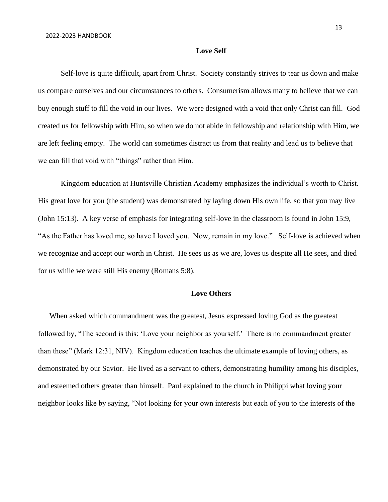#### **Love Self**

Self-love is quite difficult, apart from Christ. Society constantly strives to tear us down and make us compare ourselves and our circumstances to others. Consumerism allows many to believe that we can buy enough stuff to fill the void in our lives. We were designed with a void that only Christ can fill. God created us for fellowship with Him, so when we do not abide in fellowship and relationship with Him, we are left feeling empty. The world can sometimes distract us from that reality and lead us to believe that we can fill that void with "things" rather than Him.

Kingdom education at Huntsville Christian Academy emphasizes the individual's worth to Christ. His great love for you (the student) was demonstrated by laying down His own life, so that you may live (John 15:13). A key verse of emphasis for integrating self-love in the classroom is found in John 15:9, "As the Father has loved me, so have I loved you. Now, remain in my love." Self-love is achieved when we recognize and accept our worth in Christ. He sees us as we are, loves us despite all He sees, and died for us while we were still His enemy (Romans 5:8).

#### **Love Others**

When asked which commandment was the greatest, Jesus expressed loving God as the greatest followed by, "The second is this: 'Love your neighbor as yourself.' There is no commandment greater than these" (Mark 12:31, NIV). Kingdom education teaches the ultimate example of loving others, as demonstrated by our Savior. He lived as a servant to others, demonstrating humility among his disciples, and esteemed others greater than himself. Paul explained to the church in Philippi what loving your neighbor looks like by saying, "Not looking for your own interests but each of you to the interests of the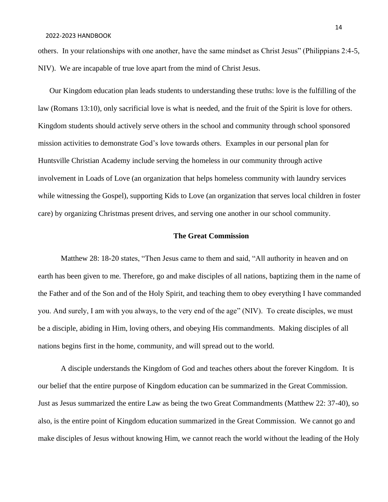others. In your relationships with one another, have the same mindset as Christ Jesus" (Philippians 2:4-5, NIV). We are incapable of true love apart from the mind of Christ Jesus.

Our Kingdom education plan leads students to understanding these truths: love is the fulfilling of the law (Romans 13:10), only sacrificial love is what is needed, and the fruit of the Spirit is love for others. Kingdom students should actively serve others in the school and community through school sponsored mission activities to demonstrate God's love towards others. Examples in our personal plan for Huntsville Christian Academy include serving the homeless in our community through active involvement in Loads of Love (an organization that helps homeless community with laundry services while witnessing the Gospel), supporting Kids to Love (an organization that serves local children in foster care) by organizing Christmas present drives, and serving one another in our school community.

#### **The Great Commission**

Matthew 28: 18-20 states, "Then Jesus came to them and said, "All authority in heaven and on earth has been given to me. Therefore, go and make disciples of all nations, baptizing them in the name of the Father and of the Son and of the Holy Spirit, and teaching them to obey everything I have commanded you. And surely, I am with you always, to the very end of the age" (NIV). To create disciples, we must be a disciple, abiding in Him, loving others, and obeying His commandments. Making disciples of all nations begins first in the home, community, and will spread out to the world.

A disciple understands the Kingdom of God and teaches others about the forever Kingdom. It is our belief that the entire purpose of Kingdom education can be summarized in the Great Commission. Just as Jesus summarized the entire Law as being the two Great Commandments (Matthew 22: 37-40), so also, is the entire point of Kingdom education summarized in the Great Commission. We cannot go and make disciples of Jesus without knowing Him, we cannot reach the world without the leading of the Holy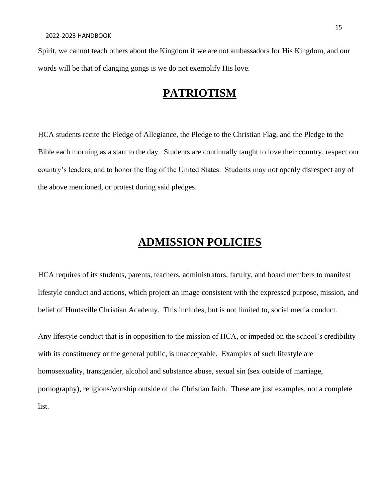Spirit, we cannot teach others about the Kingdom if we are not ambassadors for His Kingdom, and our words will be that of clanging gongs is we do not exemplify His love.

### **PATRIOTISM**

HCA students recite the Pledge of Allegiance, the Pledge to the Christian Flag, and the Pledge to the Bible each morning as a start to the day. Students are continually taught to love their country, respect our country's leaders, and to honor the flag of the United States. Students may not openly disrespect any of the above mentioned, or protest during said pledges.

# **ADMISSION POLICIES**

HCA requires of its students, parents, teachers, administrators, faculty, and board members to manifest lifestyle conduct and actions, which project an image consistent with the expressed purpose, mission, and belief of Huntsville Christian Academy. This includes, but is not limited to, social media conduct.

Any lifestyle conduct that is in opposition to the mission of HCA, or impeded on the school's credibility with its constituency or the general public, is unacceptable. Examples of such lifestyle are homosexuality, transgender, alcohol and substance abuse, sexual sin (sex outside of marriage, pornography), religions/worship outside of the Christian faith. These are just examples, not a complete list.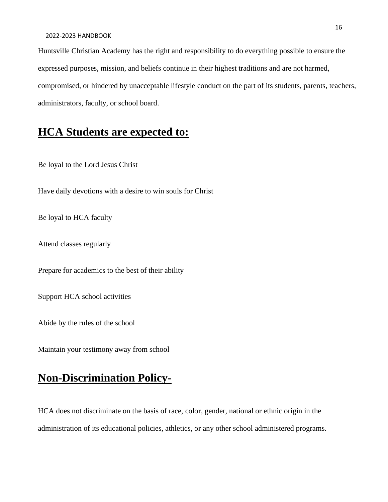Huntsville Christian Academy has the right and responsibility to do everything possible to ensure the expressed purposes, mission, and beliefs continue in their highest traditions and are not harmed, compromised, or hindered by unacceptable lifestyle conduct on the part of its students, parents, teachers, administrators, faculty, or school board.

## **HCA Students are expected to:**

Be loyal to the Lord Jesus Christ

Have daily devotions with a desire to win souls for Christ

Be loyal to HCA faculty

Attend classes regularly

Prepare for academics to the best of their ability

Support HCA school activities

Abide by the rules of the school

Maintain your testimony away from school

# **Non-Discrimination Policy-**

HCA does not discriminate on the basis of race, color, gender, national or ethnic origin in the administration of its educational policies, athletics, or any other school administered programs.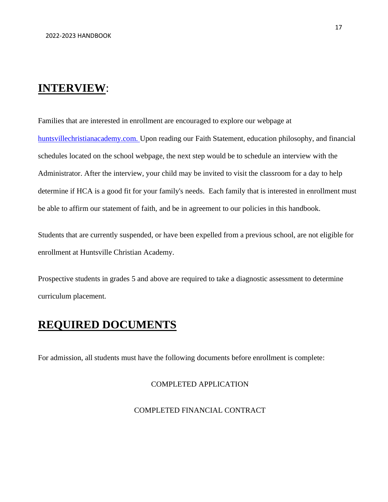### **INTERVIEW**:

Families that are interested in enrollment are encouraged to explore our webpage at

huntsvillechristianacademy.com. Upon reading our Faith Statement, education philosophy, and financial schedules located on the school webpage, the next step would be to schedule an interview with the Administrator. After the interview, your child may be invited to visit the classroom for a day to help determine if HCA is a good fit for your family's needs. Each family that is interested in enrollment must be able to affirm our statement of faith, and be in agreement to our policies in this handbook.

Students that are currently suspended, or have been expelled from a previous school, are not eligible for enrollment at Huntsville Christian Academy.

Prospective students in grades 5 and above are required to take a diagnostic assessment to determine curriculum placement.

# **REQUIRED DOCUMENTS**

For admission, all students must have the following documents before enrollment is complete:

#### COMPLETED APPLICATION

#### COMPLETED FINANCIAL CONTRACT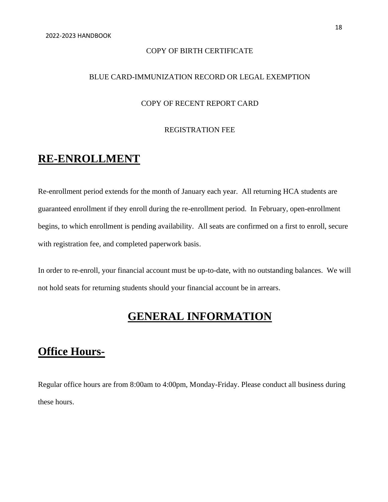#### COPY OF BIRTH CERTIFICATE

#### BLUE CARD-IMMUNIZATION RECORD OR LEGAL EXEMPTION

#### COPY OF RECENT REPORT CARD

#### REGISTRATION FEE

### **RE-ENROLLMENT**

Re-enrollment period extends for the month of January each year. All returning HCA students are guaranteed enrollment if they enroll during the re-enrollment period. In February, open-enrollment begins, to which enrollment is pending availability. All seats are confirmed on a first to enroll, secure with registration fee, and completed paperwork basis.

In order to re-enroll, your financial account must be up-to-date, with no outstanding balances. We will not hold seats for returning students should your financial account be in arrears.

# **GENERAL INFORMATION**

# **Office Hours-**

Regular office hours are from 8:00am to 4:00pm, Monday-Friday. Please conduct all business during these hours.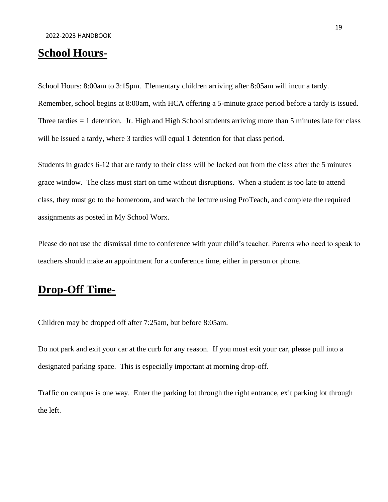## **School Hours-**

School Hours: 8:00am to 3:15pm. Elementary children arriving after 8:05am will incur a tardy.

Remember, school begins at 8:00am, with HCA offering a 5-minute grace period before a tardy is issued. Three tardies = 1 detention. Jr. High and High School students arriving more than 5 minutes late for class will be issued a tardy, where 3 tardies will equal 1 detention for that class period.

Students in grades 6-12 that are tardy to their class will be locked out from the class after the 5 minutes grace window. The class must start on time without disruptions. When a student is too late to attend class, they must go to the homeroom, and watch the lecture using ProTeach, and complete the required assignments as posted in My School Worx.

Please do not use the dismissal time to conference with your child's teacher. Parents who need to speak to teachers should make an appointment for a conference time, either in person or phone.

## **Drop-Off Time-**

Children may be dropped off after 7:25am, but before 8:05am.

Do not park and exit your car at the curb for any reason. If you must exit your car, please pull into a designated parking space. This is especially important at morning drop-off.

Traffic on campus is one way. Enter the parking lot through the right entrance, exit parking lot through the left.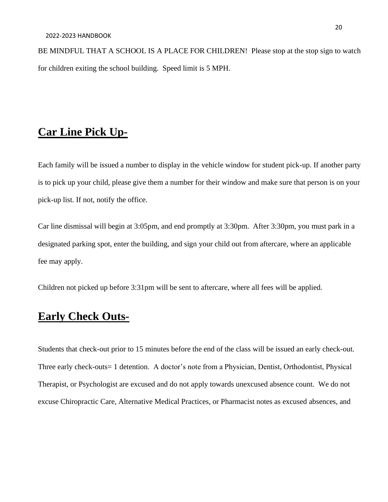BE MINDFUL THAT A SCHOOL IS A PLACE FOR CHILDREN! Please stop at the stop sign to watch for children exiting the school building. Speed limit is 5 MPH.

## **Car Line Pick Up-**

Each family will be issued a number to display in the vehicle window for student pick-up. If another party is to pick up your child, please give them a number for their window and make sure that person is on your pick-up list. If not, notify the office.

Car line dismissal will begin at 3:05pm, and end promptly at 3:30pm. After 3:30pm, you must park in a designated parking spot, enter the building, and sign your child out from aftercare, where an applicable fee may apply.

Children not picked up before 3:31pm will be sent to aftercare, where all fees will be applied.

## **Early Check Outs-**

Students that check-out prior to 15 minutes before the end of the class will be issued an early check-out. Three early check-outs= 1 detention. A doctor's note from a Physician, Dentist, Orthodontist, Physical Therapist, or Psychologist are excused and do not apply towards unexcused absence count. We do not excuse Chiropractic Care, Alternative Medical Practices, or Pharmacist notes as excused absences, and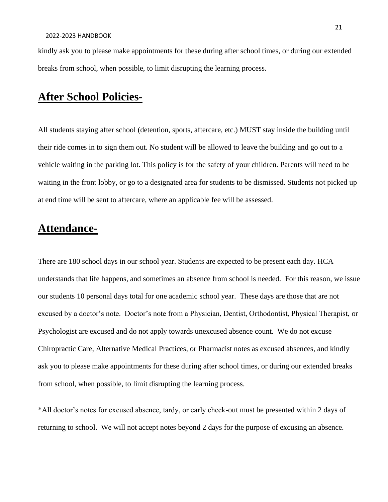kindly ask you to please make appointments for these during after school times, or during our extended breaks from school, when possible, to limit disrupting the learning process.

# **After School Policies-**

All students staying after school (detention, sports, aftercare, etc.) MUST stay inside the building until their ride comes in to sign them out. No student will be allowed to leave the building and go out to a vehicle waiting in the parking lot. This policy is for the safety of your children. Parents will need to be waiting in the front lobby, or go to a designated area for students to be dismissed. Students not picked up at end time will be sent to aftercare, where an applicable fee will be assessed.

### **Attendance-**

There are 180 school days in our school year. Students are expected to be present each day. HCA understands that life happens, and sometimes an absence from school is needed. For this reason, we issue our students 10 personal days total for one academic school year. These days are those that are not excused by a doctor's note. Doctor's note from a Physician, Dentist, Orthodontist, Physical Therapist, or Psychologist are excused and do not apply towards unexcused absence count. We do not excuse Chiropractic Care, Alternative Medical Practices, or Pharmacist notes as excused absences, and kindly ask you to please make appointments for these during after school times, or during our extended breaks from school, when possible, to limit disrupting the learning process.

\*All doctor's notes for excused absence, tardy, or early check-out must be presented within 2 days of returning to school. We will not accept notes beyond 2 days for the purpose of excusing an absence.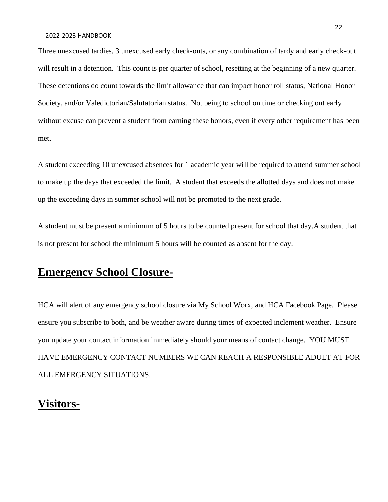Three unexcused tardies, 3 unexcused early check-outs, or any combination of tardy and early check-out will result in a detention. This count is per quarter of school, resetting at the beginning of a new quarter. These detentions do count towards the limit allowance that can impact honor roll status, National Honor Society, and/or Valedictorian/Salutatorian status. Not being to school on time or checking out early without excuse can prevent a student from earning these honors, even if every other requirement has been met.

A student exceeding 10 unexcused absences for 1 academic year will be required to attend summer school to make up the days that exceeded the limit. A student that exceeds the allotted days and does not make up the exceeding days in summer school will not be promoted to the next grade.

A student must be present a minimum of 5 hours to be counted present for school that day.A student that is not present for school the minimum 5 hours will be counted as absent for the day.

## **Emergency School Closure-**

HCA will alert of any emergency school closure via My School Worx, and HCA Facebook Page. Please ensure you subscribe to both, and be weather aware during times of expected inclement weather. Ensure you update your contact information immediately should your means of contact change. YOU MUST HAVE EMERGENCY CONTACT NUMBERS WE CAN REACH A RESPONSIBLE ADULT AT FOR ALL EMERGENCY SITUATIONS.

### **Visitors-**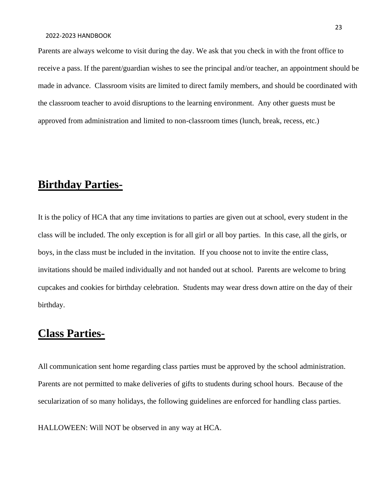Parents are always welcome to visit during the day. We ask that you check in with the front office to receive a pass. If the parent/guardian wishes to see the principal and/or teacher, an appointment should be made in advance. Classroom visits are limited to direct family members, and should be coordinated with the classroom teacher to avoid disruptions to the learning environment. Any other guests must be approved from administration and limited to non-classroom times (lunch, break, recess, etc.)

### **Birthday Parties-**

It is the policy of HCA that any time invitations to parties are given out at school, every student in the class will be included. The only exception is for all girl or all boy parties. In this case, all the girls, or boys, in the class must be included in the invitation. If you choose not to invite the entire class, invitations should be mailed individually and not handed out at school. Parents are welcome to bring cupcakes and cookies for birthday celebration. Students may wear dress down attire on the day of their birthday.

## **Class Parties-**

All communication sent home regarding class parties must be approved by the school administration. Parents are not permitted to make deliveries of gifts to students during school hours. Because of the secularization of so many holidays, the following guidelines are enforced for handling class parties.

HALLOWEEN: Will NOT be observed in any way at HCA.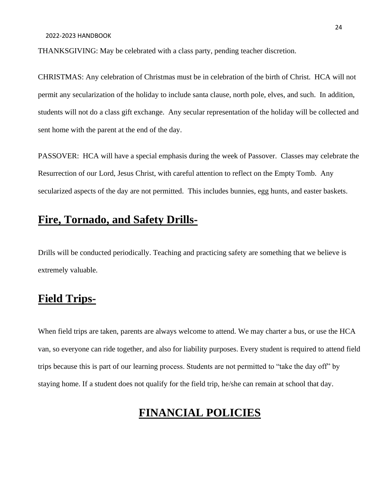THANKSGIVING: May be celebrated with a class party, pending teacher discretion.

CHRISTMAS: Any celebration of Christmas must be in celebration of the birth of Christ. HCA will not permit any secularization of the holiday to include santa clause, north pole, elves, and such. In addition, students will not do a class gift exchange. Any secular representation of the holiday will be collected and sent home with the parent at the end of the day.

PASSOVER: HCA will have a special emphasis during the week of Passover. Classes may celebrate the Resurrection of our Lord, Jesus Christ, with careful attention to reflect on the Empty Tomb. Any secularized aspects of the day are not permitted. This includes bunnies, egg hunts, and easter baskets.

### **Fire, Tornado, and Safety Drills-**

Drills will be conducted periodically. Teaching and practicing safety are something that we believe is extremely valuable.

## **Field Trips-**

When field trips are taken, parents are always welcome to attend. We may charter a bus, or use the HCA van, so everyone can ride together, and also for liability purposes. Every student is required to attend field trips because this is part of our learning process. Students are not permitted to "take the day off" by staying home. If a student does not qualify for the field trip, he/she can remain at school that day.

# **FINANCIAL POLICIES**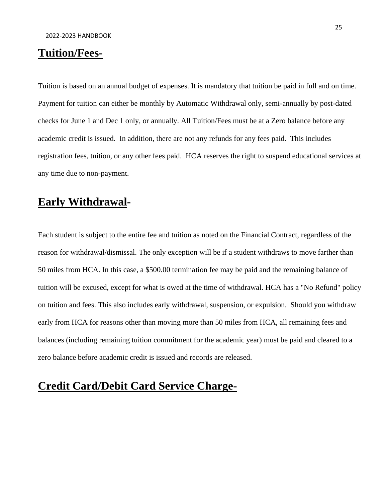# **Tuition/Fees-**

Tuition is based on an annual budget of expenses. It is mandatory that tuition be paid in full and on time. Payment for tuition can either be monthly by Automatic Withdrawal only, semi-annually by post-dated checks for June 1 and Dec 1 only, or annually. All Tuition/Fees must be at a Zero balance before any academic credit is issued. In addition, there are not any refunds for any fees paid. This includes registration fees, tuition, or any other fees paid. HCA reserves the right to suspend educational services at any time due to non-payment.

### **Early Withdrawal-**

Each student is subject to the entire fee and tuition as noted on the Financial Contract, regardless of the reason for withdrawal/dismissal. The only exception will be if a student withdraws to move farther than 50 miles from HCA. In this case, a \$500.00 termination fee may be paid and the remaining balance of tuition will be excused, except for what is owed at the time of withdrawal. HCA has a "No Refund" policy on tuition and fees. This also includes early withdrawal, suspension, or expulsion. Should you withdraw early from HCA for reasons other than moving more than 50 miles from HCA, all remaining fees and balances (including remaining tuition commitment for the academic year) must be paid and cleared to a zero balance before academic credit is issued and records are released.

# **Credit Card/Debit Card Service Charge-**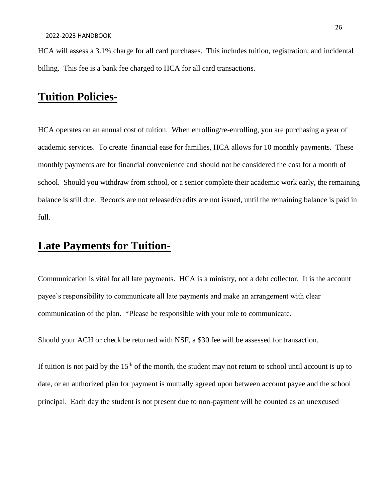HCA will assess a 3.1% charge for all card purchases. This includes tuition, registration, and incidental billing. This fee is a bank fee charged to HCA for all card transactions.

# **Tuition Policies-**

HCA operates on an annual cost of tuition. When enrolling/re-enrolling, you are purchasing a year of academic services. To create financial ease for families, HCA allows for 10 monthly payments. These monthly payments are for financial convenience and should not be considered the cost for a month of school. Should you withdraw from school, or a senior complete their academic work early, the remaining balance is still due. Records are not released/credits are not issued, until the remaining balance is paid in full.

## **Late Payments for Tuition-**

Communication is vital for all late payments. HCA is a ministry, not a debt collector. It is the account payee's responsibility to communicate all late payments and make an arrangement with clear communication of the plan. \*Please be responsible with your role to communicate.

Should your ACH or check be returned with NSF, a \$30 fee will be assessed for transaction.

If tuition is not paid by the  $15<sup>th</sup>$  of the month, the student may not return to school until account is up to date, or an authorized plan for payment is mutually agreed upon between account payee and the school principal. Each day the student is not present due to non-payment will be counted as an unexcused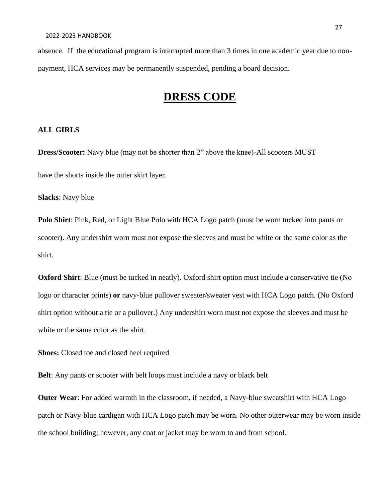absence. If the educational program is interrupted more than 3 times in one academic year due to nonpayment, HCA services may be permanently suspended, pending a board decision.

## **DRESS CODE**

#### **ALL GIRLS**

**Dress/Scooter:** Navy blue (may not be shorter than 2" above the knee)-All scooters MUST have the shorts inside the outer skirt layer.

**Slacks**: Navy blue

**Polo Shirt**: Pink, Red, or Light Blue Polo with HCA Logo patch (must be worn tucked into pants or scooter). Any undershirt worn must not expose the sleeves and must be white or the same color as the shirt.

**Oxford Shirt**: Blue (must be tucked in neatly). Oxford shirt option must include a conservative tie (No logo or character prints) **or** navy-blue pullover sweater/sweater vest with HCA Logo patch. (No Oxford shirt option without a tie or a pullover.) Any undershirt worn must not expose the sleeves and must be white or the same color as the shirt.

**Shoes:** Closed toe and closed heel required

**Belt**: Any pants or scooter with belt loops must include a navy or black belt

**Outer Wear**: For added warmth in the classroom, if needed, a Navy-blue sweatshirt with HCA Logo patch or Navy-blue cardigan with HCA Logo patch may be worn. No other outerwear may be worn inside the school building; however, any coat or jacket may be worn to and from school.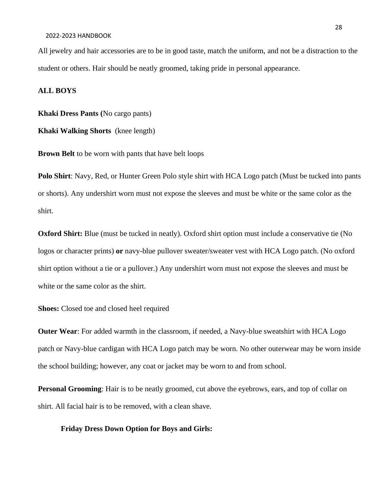#### 2022-2023 HANDBOOK

All jewelry and hair accessories are to be in good taste, match the uniform, and not be a distraction to the student or others. Hair should be neatly groomed, taking pride in personal appearance.

#### **ALL BOYS**

**Khaki Dress Pants (**No cargo pants)

**Khaki Walking Shorts** (knee length)

**Brown Belt** to be worn with pants that have belt loops

**Polo Shirt**: Navy, Red, or Hunter Green Polo style shirt with HCA Logo patch (Must be tucked into pants or shorts). Any undershirt worn must not expose the sleeves and must be white or the same color as the shirt.

**Oxford Shirt:** Blue (must be tucked in neatly). Oxford shirt option must include a conservative tie (No logos or character prints) **or** navy-blue pullover sweater/sweater vest with HCA Logo patch. (No oxford shirt option without a tie or a pullover.) Any undershirt worn must not expose the sleeves and must be white or the same color as the shirt.

**Shoes:** Closed toe and closed heel required

**Outer Wear**: For added warmth in the classroom, if needed, a Navy-blue sweatshirt with HCA Logo patch or Navy-blue cardigan with HCA Logo patch may be worn. No other outerwear may be worn inside the school building; however, any coat or jacket may be worn to and from school.

**Personal Grooming**: Hair is to be neatly groomed, cut above the eyebrows, ears, and top of collar on shirt. All facial hair is to be removed, with a clean shave.

#### **Friday Dress Down Option for Boys and Girls:**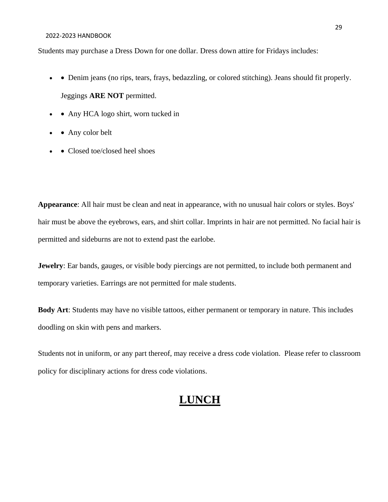#### 2022-2023 HANDBOOK

Students may purchase a Dress Down for one dollar. Dress down attire for Fridays includes:

- • Denim jeans (no rips, tears, frays, bedazzling, or colored stitching). Jeans should fit properly. Jeggings **ARE NOT** permitted.
- • Any HCA logo shirt, worn tucked in
- Any color belt
- Closed toe/closed heel shoes

**Appearance**: All hair must be clean and neat in appearance, with no unusual hair colors or styles. Boys' hair must be above the eyebrows, ears, and shirt collar. Imprints in hair are not permitted. No facial hair is permitted and sideburns are not to extend past the earlobe.

**Jewelry**: Ear bands, gauges, or visible body piercings are not permitted, to include both permanent and temporary varieties. Earrings are not permitted for male students.

**Body Art**: Students may have no visible tattoos, either permanent or temporary in nature. This includes doodling on skin with pens and markers.

Students not in uniform, or any part thereof, may receive a dress code violation. Please refer to classroom policy for disciplinary actions for dress code violations.

# **LUNCH**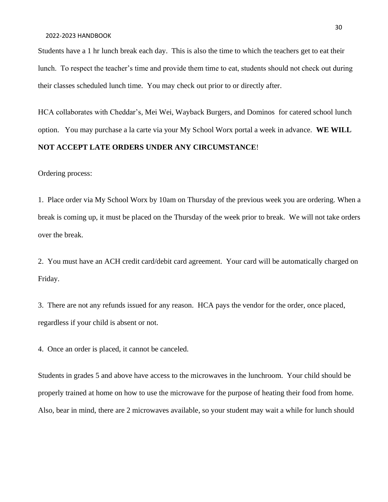Students have a 1 hr lunch break each day. This is also the time to which the teachers get to eat their lunch. To respect the teacher's time and provide them time to eat, students should not check out during their classes scheduled lunch time. You may check out prior to or directly after.

HCA collaborates with Cheddar's, Mei Wei, Wayback Burgers, and Dominos for catered school lunch option. You may purchase a la carte via your My School Worx portal a week in advance. **WE WILL NOT ACCEPT LATE ORDERS UNDER ANY CIRCUMSTANCE**!

Ordering process:

1. Place order via My School Worx by 10am on Thursday of the previous week you are ordering. When a break is coming up, it must be placed on the Thursday of the week prior to break. We will not take orders over the break.

2. You must have an ACH credit card/debit card agreement. Your card will be automatically charged on Friday.

3. There are not any refunds issued for any reason. HCA pays the vendor for the order, once placed, regardless if your child is absent or not.

4. Once an order is placed, it cannot be canceled.

Students in grades 5 and above have access to the microwaves in the lunchroom. Your child should be properly trained at home on how to use the microwave for the purpose of heating their food from home. Also, bear in mind, there are 2 microwaves available, so your student may wait a while for lunch should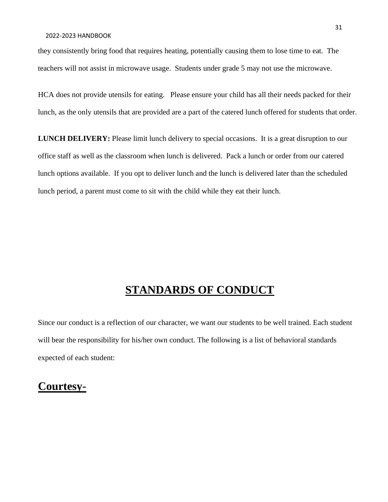they consistently bring food that requires heating, potentially causing them to lose time to eat. The teachers will not assist in microwave usage. Students under grade 5 may not use the microwave.

HCA does not provide utensils for eating. Please ensure your child has all their needs packed for their lunch, as the only utensils that are provided are a part of the catered lunch offered for students that order.

**LUNCH DELIVERY:** Please limit lunch delivery to special occasions. It is a great disruption to our office staff as well as the classroom when lunch is delivered. Pack a lunch or order from our catered lunch options available. If you opt to deliver lunch and the lunch is delivered later than the scheduled lunch period, a parent must come to sit with the child while they eat their lunch.

## **STANDARDS OF CONDUCT**

Since our conduct is a reflection of our character, we want our students to be well trained. Each student will bear the responsibility for his/her own conduct. The following is a list of behavioral standards expected of each student:

### **Courtesy-**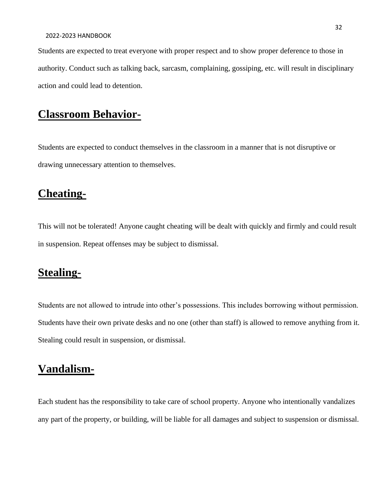Students are expected to treat everyone with proper respect and to show proper deference to those in authority. Conduct such as talking back, sarcasm, complaining, gossiping, etc. will result in disciplinary action and could lead to detention.

# **Classroom Behavior-**

Students are expected to conduct themselves in the classroom in a manner that is not disruptive or drawing unnecessary attention to themselves.

# **Cheating-**

This will not be tolerated! Anyone caught cheating will be dealt with quickly and firmly and could result in suspension. Repeat offenses may be subject to dismissal.

# **Stealing-**

Students are not allowed to intrude into other's possessions. This includes borrowing without permission. Students have their own private desks and no one (other than staff) is allowed to remove anything from it. Stealing could result in suspension, or dismissal.

### **Vandalism-**

Each student has the responsibility to take care of school property. Anyone who intentionally vandalizes any part of the property, or building, will be liable for all damages and subject to suspension or dismissal.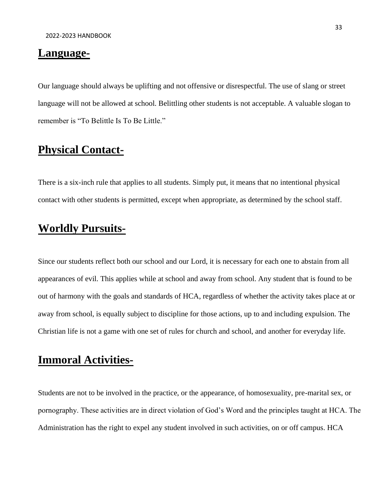#### **Language-**

Our language should always be uplifting and not offensive or disrespectful. The use of slang or street language will not be allowed at school. Belittling other students is not acceptable. A valuable slogan to remember is "To Belittle Is To Be Little."

## **Physical Contact-**

There is a six-inch rule that applies to all students. Simply put, it means that no intentional physical contact with other students is permitted, except when appropriate, as determined by the school staff.

### **Worldly Pursuits-**

Since our students reflect both our school and our Lord, it is necessary for each one to abstain from all appearances of evil. This applies while at school and away from school. Any student that is found to be out of harmony with the goals and standards of HCA, regardless of whether the activity takes place at or away from school, is equally subject to discipline for those actions, up to and including expulsion. The Christian life is not a game with one set of rules for church and school, and another for everyday life.

### **Immoral Activities-**

Students are not to be involved in the practice, or the appearance, of homosexuality, pre-marital sex, or pornography. These activities are in direct violation of God's Word and the principles taught at HCA. The Administration has the right to expel any student involved in such activities, on or off campus. HCA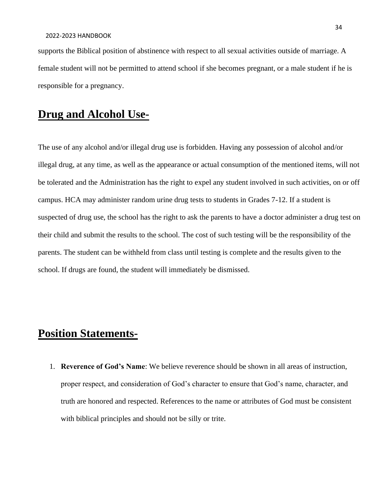supports the Biblical position of abstinence with respect to all sexual activities outside of marriage. A female student will not be permitted to attend school if she becomes pregnant, or a male student if he is responsible for a pregnancy.

### **Drug and Alcohol Use-**

The use of any alcohol and/or illegal drug use is forbidden. Having any possession of alcohol and/or illegal drug, at any time, as well as the appearance or actual consumption of the mentioned items, will not be tolerated and the Administration has the right to expel any student involved in such activities, on or off campus. HCA may administer random urine drug tests to students in Grades 7-12. If a student is suspected of drug use, the school has the right to ask the parents to have a doctor administer a drug test on their child and submit the results to the school. The cost of such testing will be the responsibility of the parents. The student can be withheld from class until testing is complete and the results given to the school. If drugs are found, the student will immediately be dismissed.

## **Position Statements-**

1. **Reverence of God's Name**: We believe reverence should be shown in all areas of instruction, proper respect, and consideration of God's character to ensure that God's name, character, and truth are honored and respected. References to the name or attributes of God must be consistent with biblical principles and should not be silly or trite.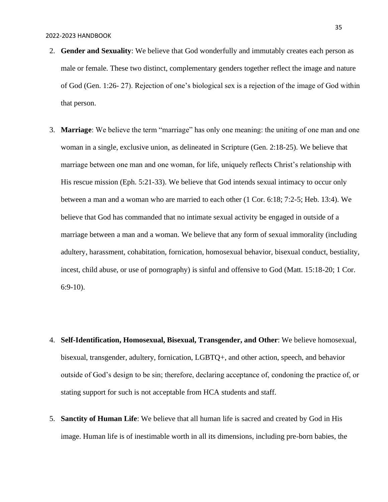#### 2022-2023 HANDBOOK

- 2. **Gender and Sexuality**: We believe that God wonderfully and immutably creates each person as male or female. These two distinct, complementary genders together reflect the image and nature of God (Gen. 1:26- 27). Rejection of one's biological sex is a rejection of the image of God within that person.
- 3. **Marriage**: We believe the term "marriage" has only one meaning: the uniting of one man and one woman in a single, exclusive union, as delineated in Scripture (Gen. 2:18-25). We believe that marriage between one man and one woman, for life, uniquely reflects Christ's relationship with His rescue mission (Eph. 5:21-33). We believe that God intends sexual intimacy to occur only between a man and a woman who are married to each other (1 Cor. 6:18; 7:2-5; Heb. 13:4). We believe that God has commanded that no intimate sexual activity be engaged in outside of a marriage between a man and a woman. We believe that any form of sexual immorality (including adultery, harassment, cohabitation, fornication, homosexual behavior, bisexual conduct, bestiality, incest, child abuse, or use of pornography) is sinful and offensive to God (Matt. 15:18-20; 1 Cor. 6:9-10).
- 4. **Self-Identification, Homosexual, Bisexual, Transgender, and Other**: We believe homosexual, bisexual, transgender, adultery, fornication, LGBTQ+, and other action, speech, and behavior outside of God's design to be sin; therefore, declaring acceptance of, condoning the practice of, or stating support for such is not acceptable from HCA students and staff.
- 5. **Sanctity of Human Life**: We believe that all human life is sacred and created by God in His image. Human life is of inestimable worth in all its dimensions, including pre-born babies, the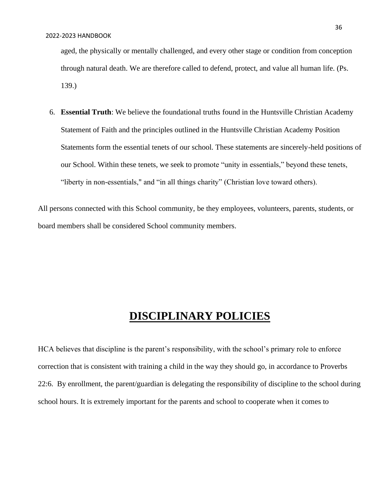aged, the physically or mentally challenged, and every other stage or condition from conception through natural death. We are therefore called to defend, protect, and value all human life. (Ps. 139.)

6. **Essential Truth**: We believe the foundational truths found in the Huntsville Christian Academy Statement of Faith and the principles outlined in the Huntsville Christian Academy Position Statements form the essential tenets of our school. These statements are sincerely-held positions of our School. Within these tenets, we seek to promote "unity in essentials," beyond these tenets, "liberty in non-essentials," and "in all things charity" (Christian love toward others).

All persons connected with this School community, be they employees, volunteers, parents, students, or board members shall be considered School community members.

### **DISCIPLINARY POLICIES**

HCA believes that discipline is the parent's responsibility, with the school's primary role to enforce correction that is consistent with training a child in the way they should go, in accordance to Proverbs 22:6. By enrollment, the parent/guardian is delegating the responsibility of discipline to the school during school hours. It is extremely important for the parents and school to cooperate when it comes to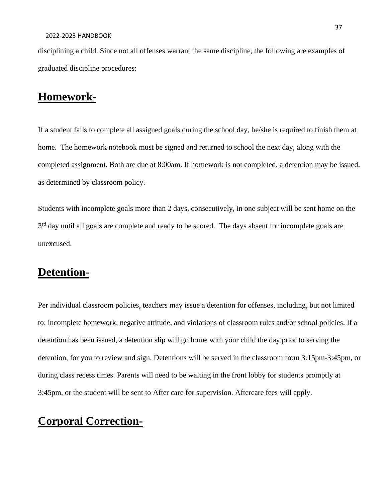disciplining a child. Since not all offenses warrant the same discipline, the following are examples of graduated discipline procedures:

# **Homework-**

If a student fails to complete all assigned goals during the school day, he/she is required to finish them at home. The homework notebook must be signed and returned to school the next day, along with the completed assignment. Both are due at 8:00am. If homework is not completed, a detention may be issued, as determined by classroom policy.

Students with incomplete goals more than 2 days, consecutively, in one subject will be sent home on the 3<sup>rd</sup> day until all goals are complete and ready to be scored. The days absent for incomplete goals are unexcused.

## **Detention-**

Per individual classroom policies, teachers may issue a detention for offenses, including, but not limited to: incomplete homework, negative attitude, and violations of classroom rules and/or school policies. If a detention has been issued, a detention slip will go home with your child the day prior to serving the detention, for you to review and sign. Detentions will be served in the classroom from 3:15pm-3:45pm, or during class recess times. Parents will need to be waiting in the front lobby for students promptly at 3:45pm, or the student will be sent to After care for supervision. Aftercare fees will apply.

# **Corporal Correction-**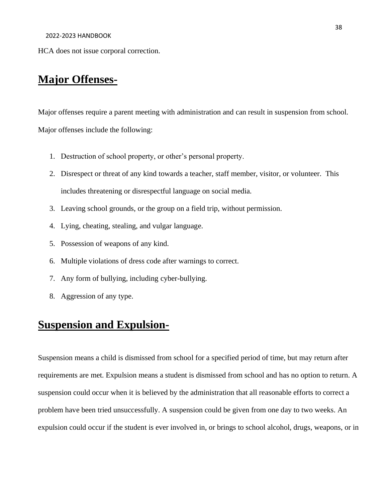#### 2022-2023 HANDBOOK

HCA does not issue corporal correction.

## **Major Offenses-**

Major offenses require a parent meeting with administration and can result in suspension from school. Major offenses include the following:

- 1. Destruction of school property, or other's personal property.
- 2. Disrespect or threat of any kind towards a teacher, staff member, visitor, or volunteer. This includes threatening or disrespectful language on social media.
- 3. Leaving school grounds, or the group on a field trip, without permission.
- 4. Lying, cheating, stealing, and vulgar language.
- 5. Possession of weapons of any kind.
- 6. Multiple violations of dress code after warnings to correct.
- 7. Any form of bullying, including cyber-bullying.
- 8. Aggression of any type.

# **Suspension and Expulsion-**

Suspension means a child is dismissed from school for a specified period of time, but may return after requirements are met. Expulsion means a student is dismissed from school and has no option to return. A suspension could occur when it is believed by the administration that all reasonable efforts to correct a problem have been tried unsuccessfully. A suspension could be given from one day to two weeks. An expulsion could occur if the student is ever involved in, or brings to school alcohol, drugs, weapons, or in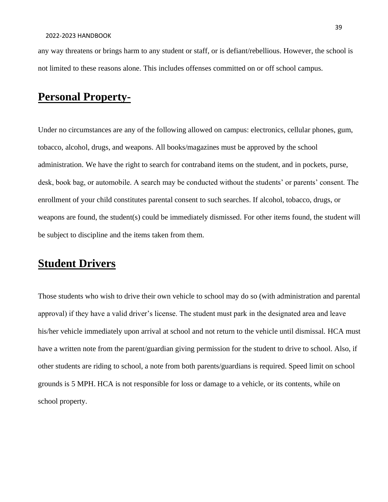any way threatens or brings harm to any student or staff, or is defiant/rebellious. However, the school is not limited to these reasons alone. This includes offenses committed on or off school campus.

# **Personal Property-**

Under no circumstances are any of the following allowed on campus: electronics, cellular phones, gum, tobacco, alcohol, drugs, and weapons. All books/magazines must be approved by the school administration. We have the right to search for contraband items on the student, and in pockets, purse, desk, book bag, or automobile. A search may be conducted without the students' or parents' consent. The enrollment of your child constitutes parental consent to such searches. If alcohol, tobacco, drugs, or weapons are found, the student(s) could be immediately dismissed. For other items found, the student will be subject to discipline and the items taken from them.

# **Student Drivers**

Those students who wish to drive their own vehicle to school may do so (with administration and parental approval) if they have a valid driver's license. The student must park in the designated area and leave his/her vehicle immediately upon arrival at school and not return to the vehicle until dismissal. HCA must have a written note from the parent/guardian giving permission for the student to drive to school. Also, if other students are riding to school, a note from both parents/guardians is required. Speed limit on school grounds is 5 MPH. HCA is not responsible for loss or damage to a vehicle, or its contents, while on school property.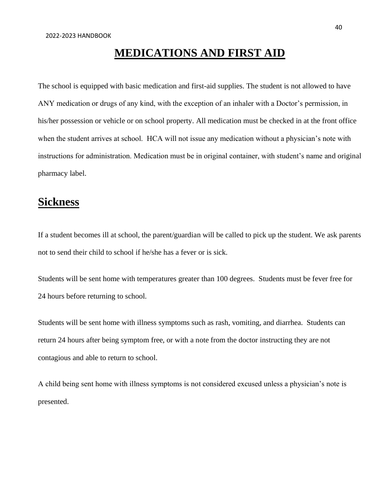# **MEDICATIONS AND FIRST AID**

The school is equipped with basic medication and first-aid supplies. The student is not allowed to have ANY medication or drugs of any kind, with the exception of an inhaler with a Doctor's permission, in his/her possession or vehicle or on school property. All medication must be checked in at the front office when the student arrives at school. HCA will not issue any medication without a physician's note with instructions for administration. Medication must be in original container, with student's name and original pharmacy label.

## **Sickness**

If a student becomes ill at school, the parent/guardian will be called to pick up the student. We ask parents not to send their child to school if he/she has a fever or is sick.

Students will be sent home with temperatures greater than 100 degrees. Students must be fever free for 24 hours before returning to school.

Students will be sent home with illness symptoms such as rash, vomiting, and diarrhea. Students can return 24 hours after being symptom free, or with a note from the doctor instructing they are not contagious and able to return to school.

A child being sent home with illness symptoms is not considered excused unless a physician's note is presented.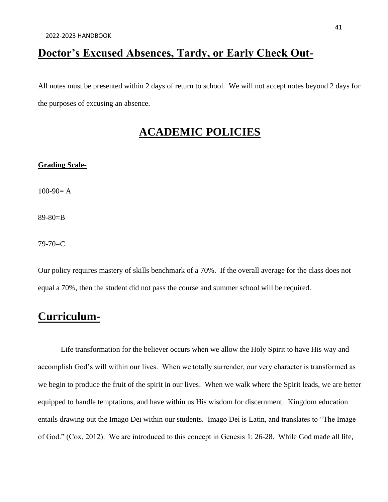# **Doctor's Excused Absences, Tardy, or Early Check Out-**

All notes must be presented within 2 days of return to school. We will not accept notes beyond 2 days for the purposes of excusing an absence.

# **ACADEMIC POLICIES**

## **Grading Scale-**

 $100-90= A$ 

89-80=B

79-70=C

Our policy requires mastery of skills benchmark of a 70%. If the overall average for the class does not equal a 70%, then the student did not pass the course and summer school will be required.

## **Curriculum-**

Life transformation for the believer occurs when we allow the Holy Spirit to have His way and accomplish God's will within our lives. When we totally surrender, our very character is transformed as we begin to produce the fruit of the spirit in our lives. When we walk where the Spirit leads, we are better equipped to handle temptations, and have within us His wisdom for discernment. Kingdom education entails drawing out the Imago Dei within our students. Imago Dei is Latin, and translates to "The Image of God." (Cox, 2012). We are introduced to this concept in Genesis 1: 26-28. While God made all life,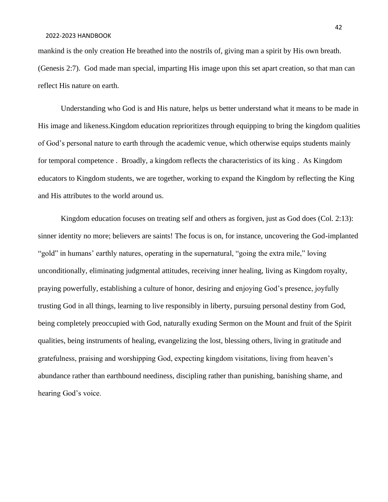#### 2022-2023 HANDBOOK

mankind is the only creation He breathed into the nostrils of, giving man a spirit by His own breath. (Genesis 2:7). God made man special, imparting His image upon this set apart creation, so that man can reflect His nature on earth.

Understanding who God is and His nature, helps us better understand what it means to be made in His image and likeness.Kingdom education reprioritizes through equipping to bring the kingdom qualities of God's personal nature to earth through the academic venue, which otherwise equips students mainly for temporal competence . Broadly, a kingdom reflects the characteristics of its king . As Kingdom educators to Kingdom students, we are together, working to expand the Kingdom by reflecting the King and His attributes to the world around us.

Kingdom education focuses on treating self and others as forgiven, just as God does (Col. 2:13): sinner identity no more; believers are saints! The focus is on, for instance, uncovering the God-implanted "gold" in humans' earthly natures, operating in the supernatural, "going the extra mile," loving unconditionally, eliminating judgmental attitudes, receiving inner healing, living as Kingdom royalty, praying powerfully, establishing a culture of honor, desiring and enjoying God's presence, joyfully trusting God in all things, learning to live responsibly in liberty, pursuing personal destiny from God, being completely preoccupied with God, naturally exuding Sermon on the Mount and fruit of the Spirit qualities, being instruments of healing, evangelizing the lost, blessing others, living in gratitude and gratefulness, praising and worshipping God, expecting kingdom visitations, living from heaven's abundance rather than earthbound neediness, discipling rather than punishing, banishing shame, and hearing God's voice.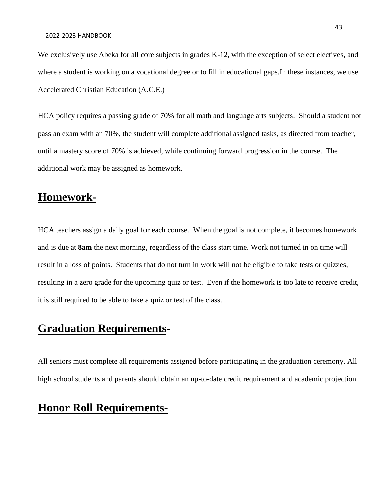We exclusively use Abeka for all core subjects in grades K-12, with the exception of select electives, and where a student is working on a vocational degree or to fill in educational gaps.In these instances, we use Accelerated Christian Education (A.C.E.)

HCA policy requires a passing grade of 70% for all math and language arts subjects. Should a student not pass an exam with an 70%, the student will complete additional assigned tasks, as directed from teacher, until a mastery score of 70% is achieved, while continuing forward progression in the course. The additional work may be assigned as homework.

## **Homework-**

HCA teachers assign a daily goal for each course. When the goal is not complete, it becomes homework and is due at **8am** the next morning, regardless of the class start time. Work not turned in on time will result in a loss of points. Students that do not turn in work will not be eligible to take tests or quizzes, resulting in a zero grade for the upcoming quiz or test. Even if the homework is too late to receive credit, it is still required to be able to take a quiz or test of the class.

## **Graduation Requirements-**

All seniors must complete all requirements assigned before participating in the graduation ceremony. All high school students and parents should obtain an up-to-date credit requirement and academic projection.

# **Honor Roll Requirements-**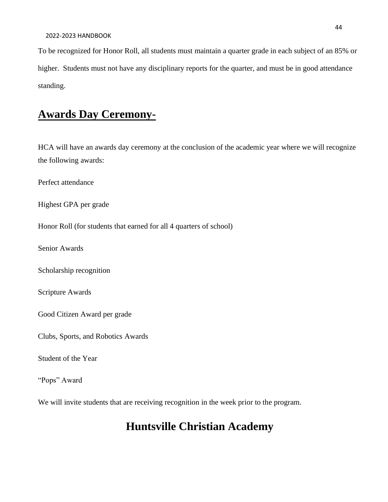To be recognized for Honor Roll, all students must maintain a quarter grade in each subject of an 85% or higher. Students must not have any disciplinary reports for the quarter, and must be in good attendance standing.

# **Awards Day Ceremony-**

HCA will have an awards day ceremony at the conclusion of the academic year where we will recognize the following awards:

Perfect attendance

Highest GPA per grade

Honor Roll (for students that earned for all 4 quarters of school)

Senior Awards

Scholarship recognition

Scripture Awards

Good Citizen Award per grade

Clubs, Sports, and Robotics Awards

Student of the Year

"Pops" Award

We will invite students that are receiving recognition in the week prior to the program.

# **Huntsville Christian Academy**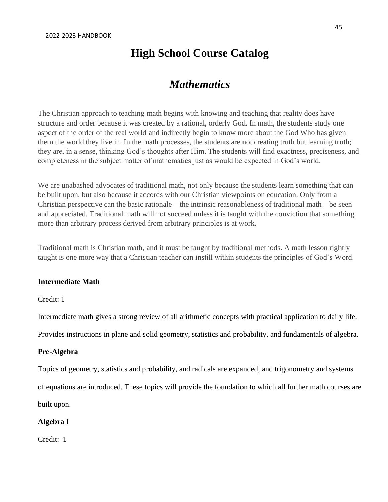## **High School Course Catalog**

## *Mathematics*

The Christian approach to teaching math begins with knowing and teaching that reality does have structure and order because it was created by a rational, orderly God. In math, the students study one aspect of the order of the real world and indirectly begin to know more about the God Who has given them the world they live in. In the math processes, the students are not creating truth but learning truth; they are, in a sense, thinking God's thoughts after Him. The students will find exactness, preciseness, and completeness in the subject matter of mathematics just as would be expected in God's world.

We are unabashed advocates of traditional math, not only because the students learn something that can be built upon, but also because it accords with our Christian viewpoints on education. Only from a Christian perspective can the basic rationale—the intrinsic reasonableness of traditional math—be seen and appreciated. Traditional math will not succeed unless it is taught with the conviction that something more than arbitrary process derived from arbitrary principles is at work.

Traditional math is Christian math, and it must be taught by traditional methods. A math lesson rightly taught is one more way that a Christian teacher can instill within students the principles of God's Word.

### **Intermediate Math**

Credit: 1

Intermediate math gives a strong review of all arithmetic concepts with practical application to daily life.

Provides instructions in plane and solid geometry, statistics and probability, and fundamentals of algebra.

### **Pre-Algebra**

Topics of geometry, statistics and probability, and radicals are expanded, and trigonometry and systems

of equations are introduced. These topics will provide the foundation to which all further math courses are

built upon.

### **Algebra I**

Credit: 1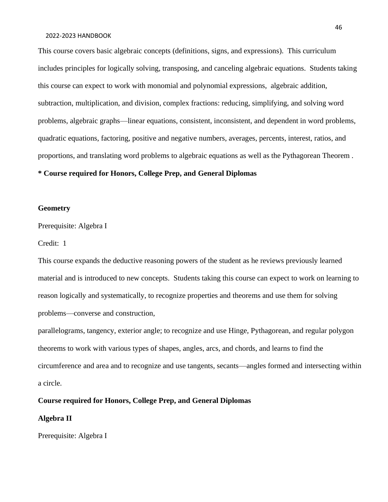#### 2022-2023 HANDBOOK

This course covers basic algebraic concepts (definitions, signs, and expressions). This curriculum includes principles for logically solving, transposing, and canceling algebraic equations. Students taking this course can expect to work with monomial and polynomial expressions, algebraic addition, subtraction, multiplication, and division, complex fractions: reducing, simplifying, and solving word problems, algebraic graphs—linear equations, consistent, inconsistent, and dependent in word problems, quadratic equations, factoring, positive and negative numbers, averages, percents, interest, ratios, and proportions, and translating word problems to algebraic equations as well as the Pythagorean Theorem .

#### **\* Course required for Honors, College Prep, and General Diplomas**

#### **Geometry**

Prerequisite: Algebra I

Credit: 1

This course expands the deductive reasoning powers of the student as he reviews previously learned material and is introduced to new concepts. Students taking this course can expect to work on learning to reason logically and systematically, to recognize properties and theorems and use them for solving problems—converse and construction,

parallelograms, tangency, exterior angle; to recognize and use Hinge, Pythagorean, and regular polygon theorems to work with various types of shapes, angles, arcs, and chords, and learns to find the circumference and area and to recognize and use tangents, secants—angles formed and intersecting within a circle.

### **Course required for Honors, College Prep, and General Diplomas**

### **Algebra II**

Prerequisite: Algebra I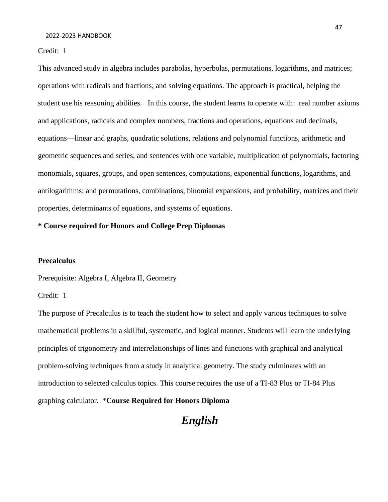Credit: 1

This advanced study in algebra includes parabolas, hyperbolas, permutations, logarithms, and matrices; operations with radicals and fractions; and solving equations. The approach is practical, helping the student use his reasoning abilities. In this course, the student learns to operate with: real number axioms and applications, radicals and complex numbers, fractions and operations, equations and decimals, equations—linear and graphs, quadratic solutions, relations and polynomial functions, arithmetic and geometric sequences and series, and sentences with one variable, multiplication of polynomials, factoring monomials, squares, groups, and open sentences, computations, exponential functions, logarithms, and antilogarithms; and permutations, combinations, binomial expansions, and probability, matrices and their properties, determinants of equations, and systems of equations.

#### **\* Course required for Honors and College Prep Diplomas**

#### **Precalculus**

Prerequisite: Algebra I, Algebra II, Geometry

Credit: 1

The purpose of Precalculus is to teach the student how to select and apply various techniques to solve mathematical problems in a skillful, systematic, and logical manner. Students will learn the underlying principles of trigonometry and interrelationships of lines and functions with graphical and analytical problem-solving techniques from a study in analytical geometry. The study culminates with an introduction to selected calculus topics. This course requires the use of a TI-83 Plus or TI-84 Plus graphing calculator. \***Course Required for Honors Diploma**

*English*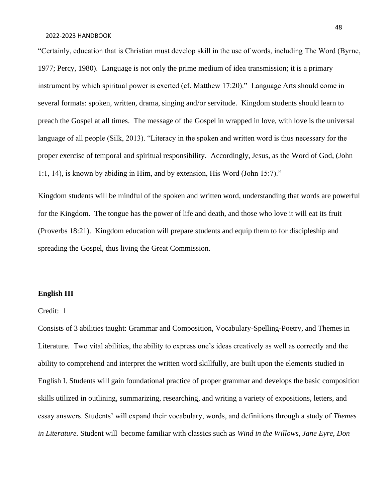"Certainly, education that is Christian must develop skill in the use of words, including The Word (Byrne, 1977; Percy, 1980). Language is not only the prime medium of idea transmission; it is a primary instrument by which spiritual power is exerted (cf. Matthew 17:20)." Language Arts should come in several formats: spoken, written, drama, singing and/or servitude. Kingdom students should learn to preach the Gospel at all times. The message of the Gospel in wrapped in love, with love is the universal language of all people (Silk, 2013). "Literacy in the spoken and written word is thus necessary for the proper exercise of temporal and spiritual responsibility. Accordingly, Jesus, as the Word of God, (John 1:1, 14), is known by abiding in Him, and by extension, His Word (John 15:7)."

Kingdom students will be mindful of the spoken and written word, understanding that words are powerful for the Kingdom. The tongue has the power of life and death, and those who love it will eat its fruit (Proverbs 18:21). Kingdom education will prepare students and equip them to for discipleship and spreading the Gospel, thus living the Great Commission.

### **English III**

#### Credit: 1

Consists of 3 abilities taught: Grammar and Composition, Vocabulary-Spelling-Poetry, and Themes in Literature. Two vital abilities, the ability to express one's ideas creatively as well as correctly and the ability to comprehend and interpret the written word skillfully, are built upon the elements studied in English I. Students will gain foundational practice of proper grammar and develops the basic composition skills utilized in outlining, summarizing, researching, and writing a variety of expositions, letters, and essay answers. Students' will expand their vocabulary, words, and definitions through a study of *Themes in Literature.* Student will become familiar with classics such as *Wind in the Willows, Jane Eyre, Don*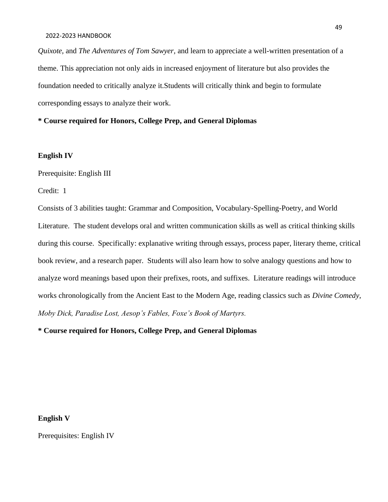*Quixote,* and *The Adventures of Tom Sawyer,* and learn to appreciate a well-written presentation of a theme. This appreciation not only aids in increased enjoyment of literature but also provides the foundation needed to critically analyze it.Students will critically think and begin to formulate corresponding essays to analyze their work.

**\* Course required for Honors, College Prep, and General Diplomas**

#### **English IV**

Prerequisite: English III

Credit: 1

Consists of 3 abilities taught: Grammar and Composition, Vocabulary-Spelling-Poetry, and World Literature. The student develops oral and written communication skills as well as critical thinking skills during this course. Specifically: explanative writing through essays, process paper, literary theme, critical book review, and a research paper. Students will also learn how to solve analogy questions and how to analyze word meanings based upon their prefixes, roots, and suffixes. Literature readings will introduce works chronologically from the Ancient East to the Modern Age, reading classics such as *Divine Comedy, Moby Dick, Paradise Lost, Aesop's Fables, Foxe's Book of Martyrs.* 

**\* Course required for Honors, College Prep, and General Diplomas**

**English V**

Prerequisites: English IV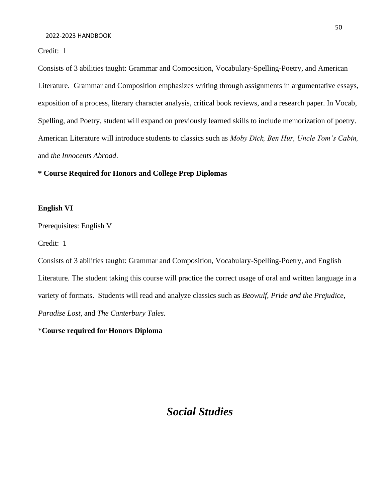Credit: 1

Consists of 3 abilities taught: Grammar and Composition, Vocabulary-Spelling-Poetry, and American Literature. Grammar and Composition emphasizes writing through assignments in argumentative essays, exposition of a process, literary character analysis, critical book reviews, and a research paper. In Vocab, Spelling, and Poetry, student will expand on previously learned skills to include memorization of poetry. American Literature will introduce students to classics such as *Moby Dick, Ben Hur, Uncle Tom's Cabin,*  and *the Innocents Abroad*.

### **\* Course Required for Honors and College Prep Diplomas**

#### **English VI**

Prerequisites: English V

Credit: 1

Consists of 3 abilities taught: Grammar and Composition, Vocabulary-Spelling-Poetry, and English Literature. The student taking this course will practice the correct usage of oral and written language in a variety of formats. Students will read and analyze classics such as *Beowulf, Pride and the Prejudice, Paradise Lost,* and *The Canterbury Tales.*

\***Course required for Honors Diploma**

## *Social Studies*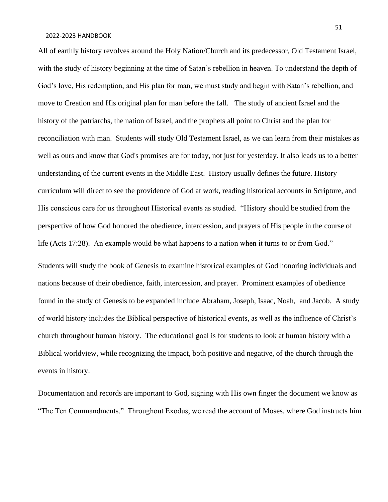All of earthly history revolves around the Holy Nation/Church and its predecessor, Old Testament Israel, with the study of history beginning at the time of Satan's rebellion in heaven. To understand the depth of God's love, His redemption, and His plan for man, we must study and begin with Satan's rebellion, and move to Creation and His original plan for man before the fall. The study of ancient Israel and the history of the patriarchs, the nation of Israel, and the prophets all point to Christ and the plan for reconciliation with man. Students will study Old Testament Israel, as we can learn from their mistakes as well as ours and know that God's promises are for today, not just for yesterday. It also leads us to a better understanding of the current events in the Middle East. History usually defines the future. History curriculum will direct to see the providence of God at work, reading historical accounts in Scripture, and His conscious care for us throughout Historical events as studied. "History should be studied from the perspective of how God honored the obedience, intercession, and prayers of His people in the course of life (Acts 17:28). An example would be what happens to a nation when it turns to or from God."

Students will study the book of Genesis to examine historical examples of God honoring individuals and nations because of their obedience, faith, intercession, and prayer. Prominent examples of obedience found in the study of Genesis to be expanded include Abraham, Joseph, Isaac, Noah, and Jacob. A study of world history includes the Biblical perspective of historical events, as well as the influence of Christ's church throughout human history. The educational goal is for students to look at human history with a Biblical worldview, while recognizing the impact, both positive and negative, of the church through the events in history.

Documentation and records are important to God, signing with His own finger the document we know as "The Ten Commandments." Throughout Exodus, we read the account of Moses, where God instructs him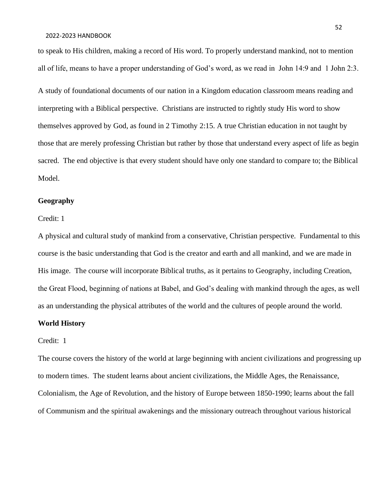to speak to His children, making a record of His word. To properly understand mankind, not to mention all of life, means to have a proper understanding of God's word, as we read in John 14:9 and 1 John 2:3.

A study of foundational documents of our nation in a Kingdom education classroom means reading and interpreting with a Biblical perspective. Christians are instructed to rightly study His word to show themselves approved by God, as found in 2 Timothy 2:15. A true Christian education in not taught by those that are merely professing Christian but rather by those that understand every aspect of life as begin sacred. The end objective is that every student should have only one standard to compare to; the Biblical Model.

#### **Geography**

#### Credit: 1

A physical and cultural study of mankind from a conservative, Christian perspective. Fundamental to this course is the basic understanding that God is the creator and earth and all mankind, and we are made in His image. The course will incorporate Biblical truths, as it pertains to Geography, including Creation, the Great Flood, beginning of nations at Babel, and God's dealing with mankind through the ages, as well as an understanding the physical attributes of the world and the cultures of people around the world.

### **World History**

#### Credit: 1

The course covers the history of the world at large beginning with ancient civilizations and progressing up to modern times. The student learns about ancient civilizations, the Middle Ages, the Renaissance, Colonialism, the Age of Revolution, and the history of Europe between 1850-1990; learns about the fall of Communism and the spiritual awakenings and the missionary outreach throughout various historical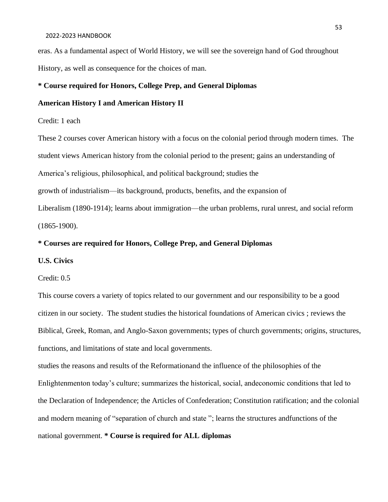#### 2022-2023 HANDBOOK

eras. As a fundamental aspect of World History, we will see the sovereign hand of God throughout History, as well as consequence for the choices of man.

### **\* Course required for Honors, College Prep, and General Diplomas**

### **American History I and American History II**

#### Credit: 1 each

These 2 courses cover American history with a focus on the colonial period through modern times. The student views American history from the colonial period to the present; gains an understanding of America's religious, philosophical, and political background; studies the

growth of industrialism—its background, products, benefits, and the expansion of

Liberalism (1890-1914); learns about immigration—the urban problems, rural unrest, and social reform (1865-1900).

### **\* Courses are required for Honors, College Prep, and General Diplomas**

### **U.S. Civics**

#### Credit: 0.5

This course covers a variety of topics related to our government and our responsibility to be a good citizen in our society. The student studies the historical foundations of American civics ; reviews the Biblical, Greek, Roman, and Anglo-Saxon governments; types of church governments; origins, structures, functions, and limitations of state and local governments.

studies the reasons and results of the Reformationand the influence of the philosophies of the Enlightenmenton today's culture; summarizes the historical, social, andeconomic conditions that led to the Declaration of Independence; the Articles of Confederation; Constitution ratification; and the colonial and modern meaning of "separation of church and state "; learns the structures andfunctions of the national government. **\* Course is required for ALL diplomas**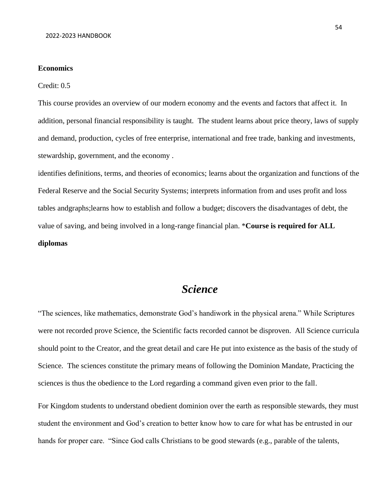#### **Economics**

#### Credit: 0.5

This course provides an overview of our modern economy and the events and factors that affect it. In addition, personal financial responsibility is taught. The student learns about price theory, laws of supply and demand, production, cycles of free enterprise, international and free trade, banking and investments, stewardship, government, and the economy .

identifies definitions, terms, and theories of economics; learns about the organization and functions of the Federal Reserve and the Social Security Systems; interprets information from and uses profit and loss tables andgraphs;learns how to establish and follow a budget; discovers the disadvantages of debt, the value of saving, and being involved in a long-range financial plan. \***Course is required for ALL diplomas**

## *Science*

"The sciences, like mathematics, demonstrate God's handiwork in the physical arena." While Scriptures were not recorded prove Science, the Scientific facts recorded cannot be disproven. All Science curricula should point to the Creator, and the great detail and care He put into existence as the basis of the study of Science. The sciences constitute the primary means of following the Dominion Mandate, Practicing the sciences is thus the obedience to the Lord regarding a command given even prior to the fall.

For Kingdom students to understand obedient dominion over the earth as responsible stewards, they must student the environment and God's creation to better know how to care for what has be entrusted in our hands for proper care. "Since God calls Christians to be good stewards (e.g., parable of the talents,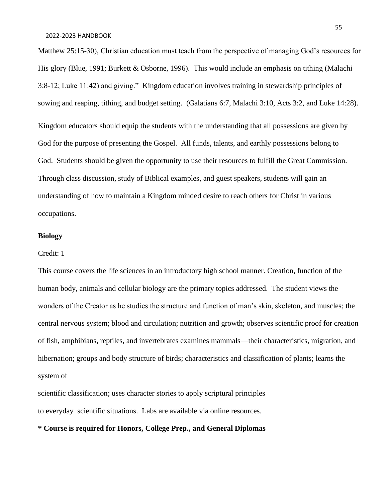Matthew 25:15-30), Christian education must teach from the perspective of managing God's resources for His glory (Blue, 1991; Burkett & Osborne, 1996). This would include an emphasis on tithing (Malachi 3:8-12; Luke 11:42) and giving." Kingdom education involves training in stewardship principles of sowing and reaping, tithing, and budget setting. (Galatians 6:7, Malachi 3:10, Acts 3:2, and Luke 14:28). Kingdom educators should equip the students with the understanding that all possessions are given by God for the purpose of presenting the Gospel. All funds, talents, and earthly possessions belong to God. Students should be given the opportunity to use their resources to fulfill the Great Commission. Through class discussion, study of Biblical examples, and guest speakers, students will gain an understanding of how to maintain a Kingdom minded desire to reach others for Christ in various occupations.

#### **Biology**

#### Credit: 1

This course covers the life sciences in an introductory high school manner. Creation, function of the human body, animals and cellular biology are the primary topics addressed. The student views the wonders of the Creator as he studies the structure and function of man's skin, skeleton, and muscles; the central nervous system; blood and circulation; nutrition and growth; observes scientific proof for creation of fish, amphibians, reptiles, and invertebrates examines mammals—their characteristics, migration, and hibernation; groups and body structure of birds; characteristics and classification of plants; learns the system of

scientific classification; uses character stories to apply scriptural principles to everyday scientific situations. Labs are available via online resources.

**\* Course is required for Honors, College Prep., and General Diplomas**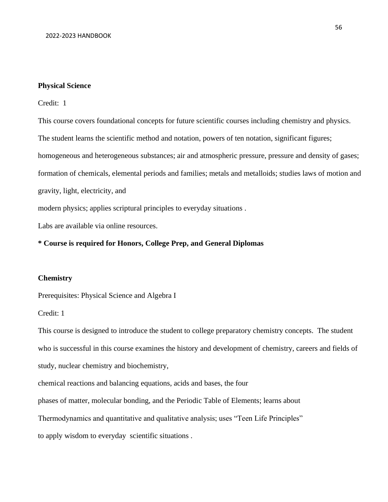#### **Physical Science**

Credit: 1

This course covers foundational concepts for future scientific courses including chemistry and physics. The student learns the scientific method and notation, powers of ten notation, significant figures; homogeneous and heterogeneous substances; air and atmospheric pressure, pressure and density of gases; formation of chemicals, elemental periods and families; metals and metalloids; studies laws of motion and gravity, light, electricity, and modern physics; applies scriptural principles to everyday situations .

Labs are available via online resources.

#### **\* Course is required for Honors, College Prep, and General Diplomas**

### **Chemistry**

Prerequisites: Physical Science and Algebra I

### Credit: 1

This course is designed to introduce the student to college preparatory chemistry concepts. The student who is successful in this course examines the history and development of chemistry, careers and fields of study, nuclear chemistry and biochemistry,

chemical reactions and balancing equations, acids and bases, the four

phases of matter, molecular bonding, and the Periodic Table of Elements; learns about

Thermodynamics and quantitative and qualitative analysis; uses "Teen Life Principles"

to apply wisdom to everyday scientific situations .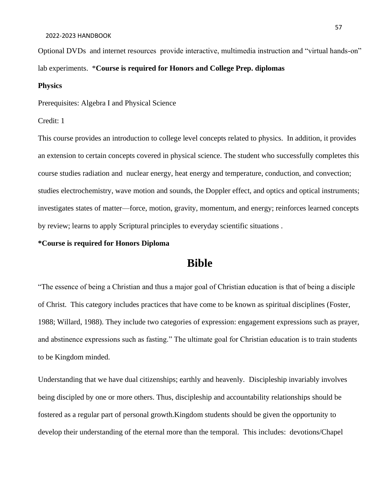#### 2022-2023 HANDBOOK

Optional DVDs and internet resources provide interactive, multimedia instruction and "virtual hands-on" lab experiments. \***Course is required for Honors and College Prep. diplomas**

#### **Physics**

Prerequisites: Algebra I and Physical Science

### Credit: 1

This course provides an introduction to college level concepts related to physics. In addition, it provides an extension to certain concepts covered in physical science. The student who successfully completes this course studies radiation and nuclear energy, heat energy and temperature, conduction, and convection; studies electrochemistry, wave motion and sounds, the Doppler effect, and optics and optical instruments; investigates states of matter—force, motion, gravity, momentum, and energy; reinforces learned concepts by review; learns to apply Scriptural principles to everyday scientific situations .

### **\*Course is required for Honors Diploma**

## **Bible**

"The essence of being a Christian and thus a major goal of Christian education is that of being a disciple of Christ. This category includes practices that have come to be known as spiritual disciplines (Foster, 1988; Willard, 1988). They include two categories of expression: engagement expressions such as prayer, and abstinence expressions such as fasting." The ultimate goal for Christian education is to train students to be Kingdom minded.

Understanding that we have dual citizenships; earthly and heavenly. Discipleship invariably involves being discipled by one or more others. Thus, discipleship and accountability relationships should be fostered as a regular part of personal growth.Kingdom students should be given the opportunity to develop their understanding of the eternal more than the temporal. This includes: devotions/Chapel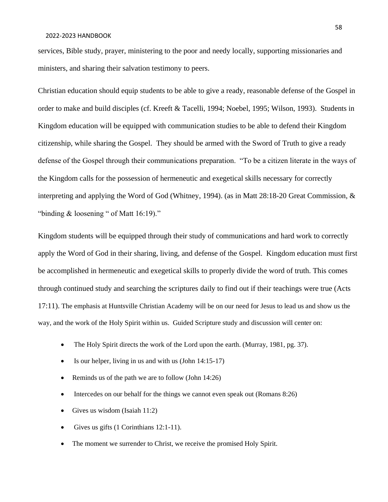#### 2022-2023 HANDBOOK

services, Bible study, prayer, ministering to the poor and needy locally, supporting missionaries and ministers, and sharing their salvation testimony to peers.

Christian education should equip students to be able to give a ready, reasonable defense of the Gospel in order to make and build disciples (cf. Kreeft & Tacelli, 1994; Noebel, 1995; Wilson, 1993). Students in Kingdom education will be equipped with communication studies to be able to defend their Kingdom citizenship, while sharing the Gospel. They should be armed with the Sword of Truth to give a ready defense of the Gospel through their communications preparation. "To be a citizen literate in the ways of the Kingdom calls for the possession of hermeneutic and exegetical skills necessary for correctly interpreting and applying the Word of God (Whitney, 1994). (as in Matt 28:18-20 Great Commission, & "binding & loosening " of Matt 16:19)."

Kingdom students will be equipped through their study of communications and hard work to correctly apply the Word of God in their sharing, living, and defense of the Gospel. Kingdom education must first be accomplished in hermeneutic and exegetical skills to properly divide the word of truth. This comes through continued study and searching the scriptures daily to find out if their teachings were true (Acts 17:11). The emphasis at Huntsville Christian Academy will be on our need for Jesus to lead us and show us the way, and the work of the Holy Spirit within us. Guided Scripture study and discussion will center on:

- The Holy Spirit directs the work of the Lord upon the earth. (Murray, 1981, pg. 37).
- Is our helper, living in us and with us  $(John 14:15-17)$
- Reminds us of the path we are to follow (John 14:26)
- Intercedes on our behalf for the things we cannot even speak out (Romans 8:26)
- Gives us wisdom (Isaiah 11:2)
- Gives us gifts (1 Corinthians 12:1-11).
- The moment we surrender to Christ, we receive the promised Holy Spirit.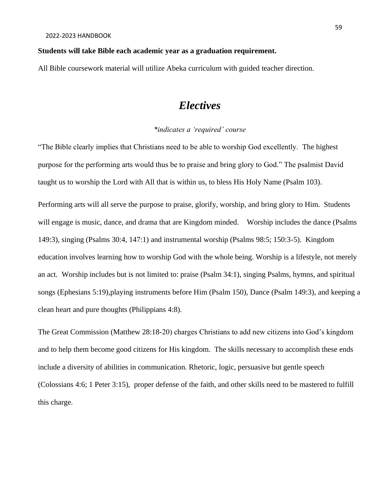### **Students will take Bible each academic year as a graduation requirement.**

All Bible coursework material will utilize Abeka curriculum with guided teacher direction.

## *Electives*

### *\*indicates a 'required' course*

"The Bible clearly implies that Christians need to be able to worship God excellently. The highest purpose for the performing arts would thus be to praise and bring glory to God." The psalmist David taught us to worship the Lord with All that is within us, to bless His Holy Name (Psalm 103).

Performing arts will all serve the purpose to praise, glorify, worship, and bring glory to Him. Students will engage is music, dance, and drama that are Kingdom minded. Worship includes the dance (Psalms 149:3), singing (Psalms 30:4, 147:1) and instrumental worship (Psalms 98:5; 150:3-5). Kingdom education involves learning how to worship God with the whole being. Worship is a lifestyle, not merely an act. Worship includes but is not limited to: praise (Psalm 34:1), singing Psalms, hymns, and spiritual songs (Ephesians 5:19),playing instruments before Him (Psalm 150), Dance (Psalm 149:3), and keeping a clean heart and pure thoughts (Philippians 4:8).

The Great Commission (Matthew 28:18-20) charges Christians to add new citizens into God's kingdom and to help them become good citizens for His kingdom. The skills necessary to accomplish these ends include a diversity of abilities in communication. Rhetoric, logic, persuasive but gentle speech (Colossians 4:6; 1 Peter 3:15), proper defense of the faith, and other skills need to be mastered to fulfill this charge.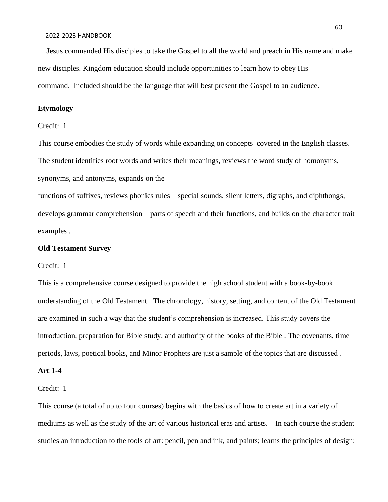Jesus commanded His disciples to take the Gospel to all the world and preach in His name and make new disciples. Kingdom education should include opportunities to learn how to obey His command. Included should be the language that will best present the Gospel to an audience.

### **Etymology**

Credit: 1

This course embodies the study of words while expanding on concepts covered in the English classes. The student identifies root words and writes their meanings, reviews the word study of homonyms, synonyms, and antonyms, expands on the

functions of suffixes, reviews phonics rules—special sounds, silent letters, digraphs, and diphthongs, develops grammar comprehension—parts of speech and their functions, and builds on the character trait examples .

### **Old Testament Survey**

Credit: 1

This is a comprehensive course designed to provide the high school student with a book-by-book understanding of the Old Testament . The chronology, history, setting, and content of the Old Testament are examined in such a way that the student's comprehension is increased. This study covers the introduction, preparation for Bible study, and authority of the books of the Bible . The covenants, time periods, laws, poetical books, and Minor Prophets are just a sample of the topics that are discussed .

### **Art 1-4**

#### Credit: 1

This course (a total of up to four courses) begins with the basics of how to create art in a variety of mediums as well as the study of the art of various historical eras and artists. In each course the student studies an introduction to the tools of art: pencil, pen and ink, and paints; learns the principles of design: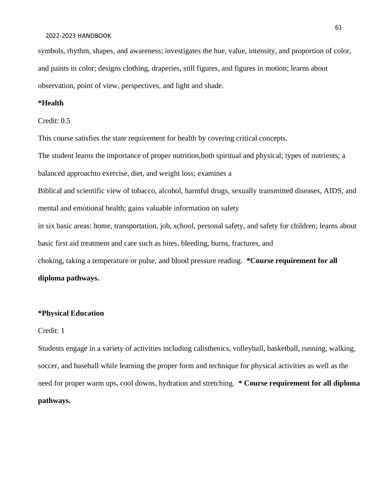#### 2022-2023 HANDBOOK

symbols, rhythm, shapes, and awareness; investigates the hue, value, intensity, and proportion of color, and paints in color; designs clothing, draperies, still figures, and figures in motion; learns about observation, point of view, perspectives, and light and shade.

### **\*Health**

#### Credit: 0.5

This course satisfies the state requirement for health by covering critical concepts.

The student learns the importance of proper nutrition,both spiritual and physical; types of nutrients; a

balanced approachto exercise, diet, and weight loss; examines a

Biblical and scientific view of tobacco, alcohol, harmful drugs, sexually transmitted diseases, AIDS, and mental and emotional health; gains valuable information on safety

in six basic areas: home, transportation, job, school, personal safety, and safety for children; learns about basic first aid treatment and care such as bites, bleeding, burns, fractures, and

choking, taking a temperature or pulse, and blood pressure reading. **\*Course requirement for all diploma pathways.**

### **\*Physical Education**

#### Credit: 1

Students engage in a variety of activities including calisthenics, volleyball, basketball, running, walking, soccer, and baseball while learning the proper form and technique for physical activities as well as the need for proper warm ups, cool downs, hydration and stretching. **\* Course requirement for all diploma pathways.**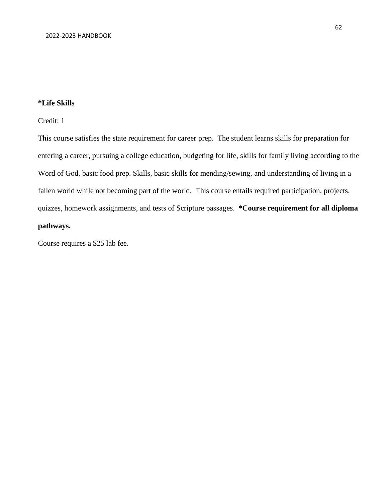### **\*Life Skills**

### Credit: 1

This course satisfies the state requirement for career prep. The student learns skills for preparation for entering a career, pursuing a college education, budgeting for life, skills for family living according to the Word of God, basic food prep. Skills, basic skills for mending/sewing, and understanding of living in a fallen world while not becoming part of the world. This course entails required participation, projects, quizzes, homework assignments, and tests of Scripture passages. **\*Course requirement for all diploma pathways.**

Course requires a \$25 lab fee.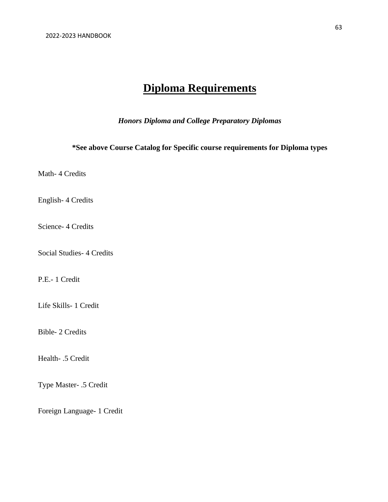# **Diploma Requirements**

*Honors Diploma and College Preparatory Diplomas*

**\*See above Course Catalog for Specific course requirements for Diploma types**

Math- 4 Credits

English- 4 Credits

Science- 4 Credits

Social Studies- 4 Credits

P.E.- 1 Credit

Life Skills- 1 Credit

Bible- 2 Credits

Health- .5 Credit

Type Master- .5 Credit

Foreign Language- 1 Credit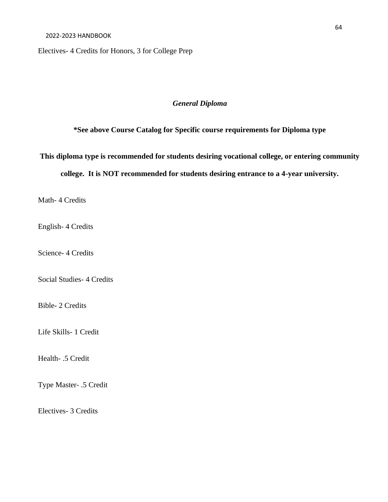Electives- 4 Credits for Honors, 3 for College Prep

### *General Diploma*

**\*See above Course Catalog for Specific course requirements for Diploma type**

**This diploma type is recommended for students desiring vocational college, or entering community** 

**college. It is NOT recommended for students desiring entrance to a 4-year university.**

Math- 4 Credits

English- 4 Credits

Science- 4 Credits

Social Studies- 4 Credits

Bible- 2 Credits

Life Skills- 1 Credit

Health- .5 Credit

Type Master- .5 Credit

Electives- 3 Credits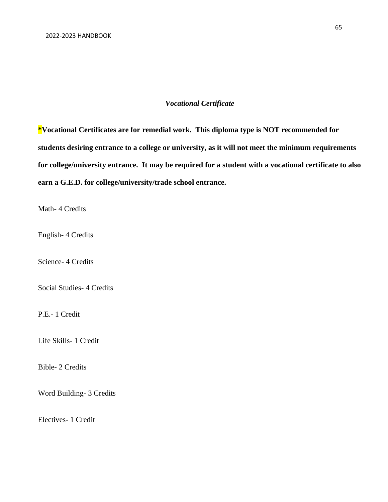### *Vocational Certificate*

**\*Vocational Certificates are for remedial work. This diploma type is NOT recommended for students desiring entrance to a college or university, as it will not meet the minimum requirements for college/university entrance. It may be required for a student with a vocational certificate to also earn a G.E.D. for college/university/trade school entrance.**

Math- 4 Credits

English- 4 Credits

Science- 4 Credits

Social Studies- 4 Credits

P.E.- 1 Credit

Life Skills- 1 Credit

Bible- 2 Credits

Word Building- 3 Credits

Electives- 1 Credit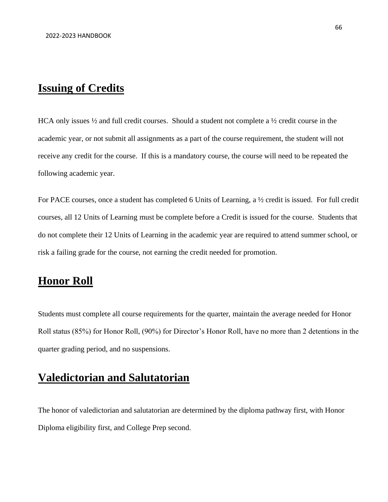## **Issuing of Credits**

HCA only issues  $\frac{1}{2}$  and full credit courses. Should a student not complete a  $\frac{1}{2}$  credit course in the academic year, or not submit all assignments as a part of the course requirement, the student will not receive any credit for the course. If this is a mandatory course, the course will need to be repeated the following academic year.

For PACE courses, once a student has completed 6 Units of Learning, a ½ credit is issued. For full credit courses, all 12 Units of Learning must be complete before a Credit is issued for the course. Students that do not complete their 12 Units of Learning in the academic year are required to attend summer school, or risk a failing grade for the course, not earning the credit needed for promotion.

## **Honor Roll**

Students must complete all course requirements for the quarter, maintain the average needed for Honor Roll status (85%) for Honor Roll, (90%) for Director's Honor Roll, have no more than 2 detentions in the quarter grading period, and no suspensions.

# **Valedictorian and Salutatorian**

The honor of valedictorian and salutatorian are determined by the diploma pathway first, with Honor Diploma eligibility first, and College Prep second.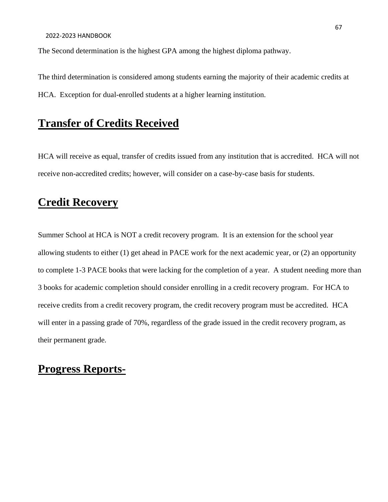The Second determination is the highest GPA among the highest diploma pathway.

The third determination is considered among students earning the majority of their academic credits at HCA. Exception for dual-enrolled students at a higher learning institution.

# **Transfer of Credits Received**

HCA will receive as equal, transfer of credits issued from any institution that is accredited. HCA will not receive non-accredited credits; however, will consider on a case-by-case basis for students.

## **Credit Recovery**

Summer School at HCA is NOT a credit recovery program. It is an extension for the school year allowing students to either (1) get ahead in PACE work for the next academic year, or (2) an opportunity to complete 1-3 PACE books that were lacking for the completion of a year. A student needing more than 3 books for academic completion should consider enrolling in a credit recovery program. For HCA to receive credits from a credit recovery program, the credit recovery program must be accredited. HCA will enter in a passing grade of 70%, regardless of the grade issued in the credit recovery program, as their permanent grade.

## **Progress Reports-**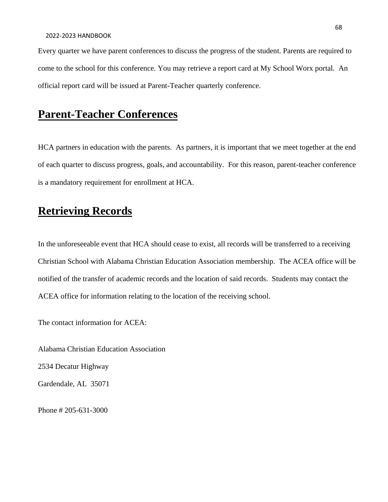Every quarter we have parent conferences to discuss the progress of the student. Parents are required to come to the school for this conference. You may retrieve a report card at My School Worx portal. An official report card will be issued at Parent-Teacher quarterly conference.

# **Parent-Teacher Conferences**

HCA partners in education with the parents. As partners, it is important that we meet together at the end of each quarter to discuss progress, goals, and accountability. For this reason, parent-teacher conference is a mandatory requirement for enrollment at HCA.

# **Retrieving Records**

In the unforeseeable event that HCA should cease to exist, all records will be transferred to a receiving Christian School with Alabama Christian Education Association membership. The ACEA office will be notified of the transfer of academic records and the location of said records. Students may contact the ACEA office for information relating to the location of the receiving school.

The contact information for ACEA:

Alabama Christian Education Association

2534 Decatur Highway

Gardendale, AL 35071

Phone # 205-631-3000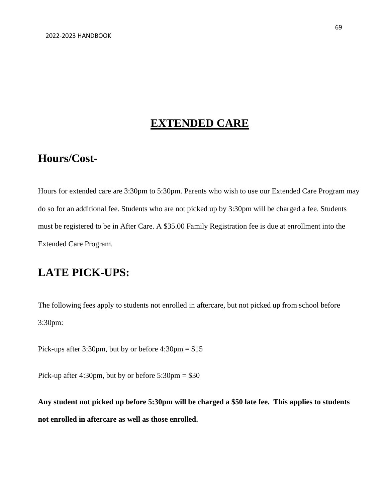## **EXTENDED CARE**

## **Hours/Cost-**

Hours for extended care are 3:30pm to 5:30pm. Parents who wish to use our Extended Care Program may do so for an additional fee. Students who are not picked up by 3:30pm will be charged a fee. Students must be registered to be in After Care. A \$35.00 Family Registration fee is due at enrollment into the Extended Care Program.

# **LATE PICK-UPS:**

The following fees apply to students not enrolled in aftercare, but not picked up from school before 3:30pm:

Pick-ups after 3:30pm, but by or before 4:30pm = \$15

Pick-up after 4:30pm, but by or before  $5:30 \text{pm} = $30$ 

**Any student not picked up before 5:30pm will be charged a \$50 late fee. This applies to students not enrolled in aftercare as well as those enrolled.**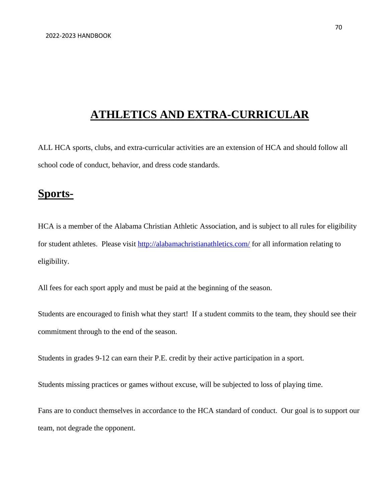# **ATHLETICS AND EXTRA-CURRICULAR**

ALL HCA sports, clubs, and extra-curricular activities are an extension of HCA and should follow all school code of conduct, behavior, and dress code standards.

## **Sports-**

HCA is a member of the Alabama Christian Athletic Association, and is subject to all rules for eligibility for student athletes. Please visit<http://alabamachristianathletics.com/> for all information relating to eligibility.

All fees for each sport apply and must be paid at the beginning of the season.

Students are encouraged to finish what they start! If a student commits to the team, they should see their commitment through to the end of the season.

Students in grades 9-12 can earn their P.E. credit by their active participation in a sport.

Students missing practices or games without excuse, will be subjected to loss of playing time.

Fans are to conduct themselves in accordance to the HCA standard of conduct. Our goal is to support our team, not degrade the opponent.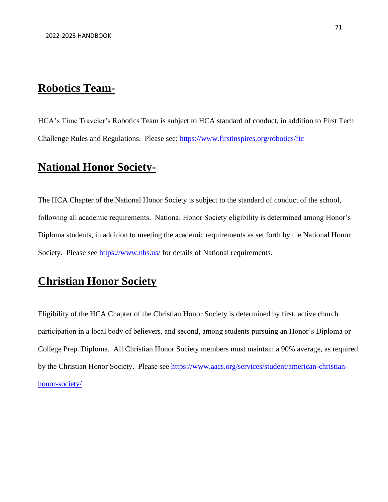## **Robotics Team-**

HCA's Time Traveler's Robotics Team is subject to HCA standard of conduct, in addition to First Tech Challenge Rules and Regulations. Please see:<https://www.firstinspires.org/robotics/ftc>

# **National Honor Society-**

The HCA Chapter of the National Honor Society is subject to the standard of conduct of the school, following all academic requirements. National Honor Society eligibility is determined among Honor's Diploma students, in addition to meeting the academic requirements as set forth by the National Honor Society. Please see<https://www.nhs.us/> for details of National requirements.

# **Christian Honor Society**

Eligibility of the HCA Chapter of the Christian Honor Society is determined by first, active church participation in a local body of believers, and second, among students pursuing an Honor's Diploma or College Prep. Diploma. All Christian Honor Society members must maintain a 90% average, as required by the Christian Honor Society. Please see [https://www.aacs.org/services/student/american-christian](https://www.aacs.org/services/student/american-christian-honor-society/)[honor-society/](https://www.aacs.org/services/student/american-christian-honor-society/)